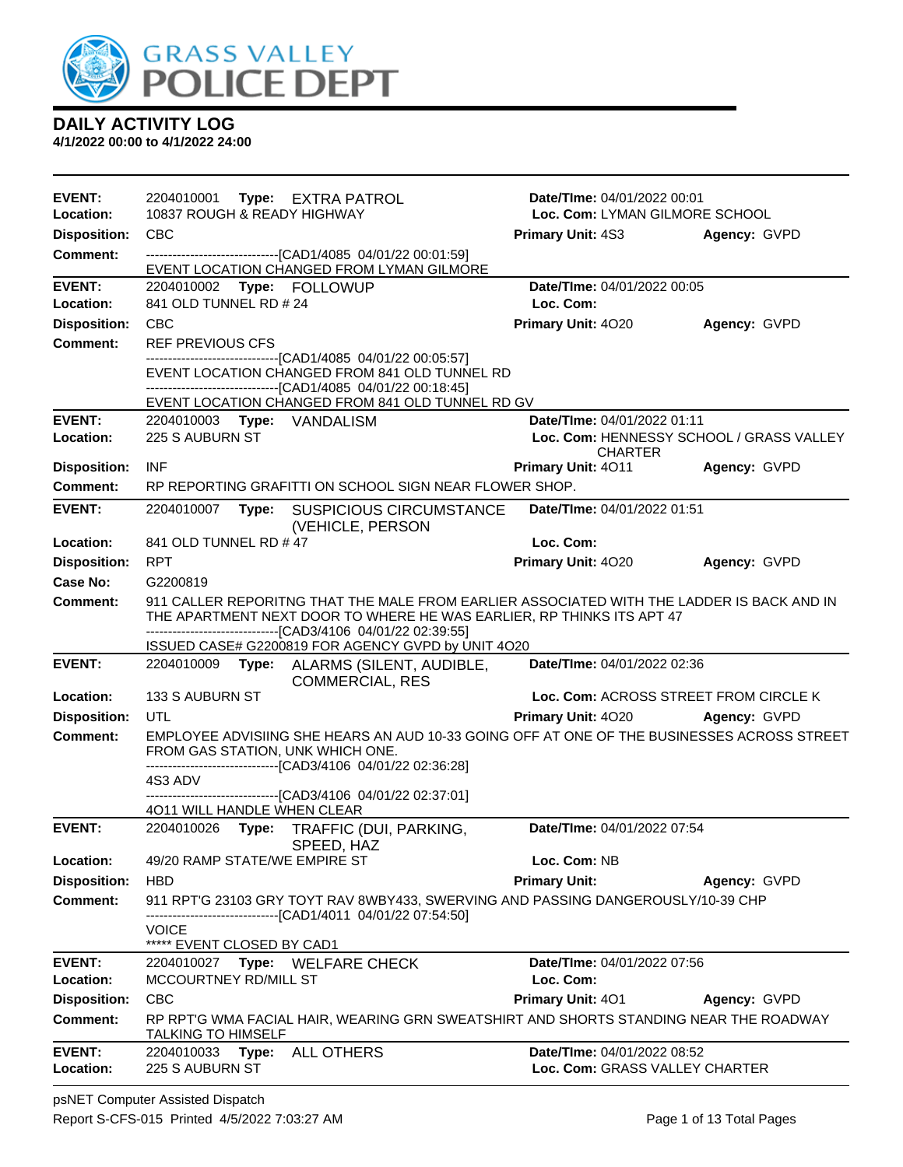

| <b>EVENT:</b>       | 2204010001<br>Type: EXTRA PATROL                                                                                                           | Date/TIme: 04/01/2022 00:01                 |              |  |
|---------------------|--------------------------------------------------------------------------------------------------------------------------------------------|---------------------------------------------|--------------|--|
| Location:           | 10837 ROUGH & READY HIGHWAY                                                                                                                | Loc. Com: LYMAN GILMORE SCHOOL              |              |  |
| <b>Disposition:</b> | <b>CBC</b>                                                                                                                                 | <b>Primary Unit: 4S3</b>                    | Agency: GVPD |  |
| <b>Comment:</b>     | -------------------------------[CAD1/4085 04/01/22 00:01:59]<br>EVENT LOCATION CHANGED FROM LYMAN GILMORE                                  |                                             |              |  |
| <b>EVENT:</b>       | 2204010002 Type: FOLLOWUP                                                                                                                  | Date/TIme: 04/01/2022 00:05                 |              |  |
| Location:           | 841 OLD TUNNEL RD # 24                                                                                                                     | Loc. Com:                                   |              |  |
| <b>Disposition:</b> | CBC                                                                                                                                        | Primary Unit: 4020                          | Agency: GVPD |  |
| <b>Comment:</b>     | <b>REF PREVIOUS CFS</b>                                                                                                                    |                                             |              |  |
|                     | --------------------------------[CAD1/4085 04/01/22 00:05:57]                                                                              |                                             |              |  |
|                     | EVENT LOCATION CHANGED FROM 841 OLD TUNNEL RD<br>------------------------------[CAD1/4085 04/01/22 00:18:45]                               |                                             |              |  |
|                     | EVENT LOCATION CHANGED FROM 841 OLD TUNNEL RD GV                                                                                           |                                             |              |  |
| <b>EVENT:</b>       |                                                                                                                                            | Date/TIme: 04/01/2022 01:11                 |              |  |
| Location:           | 225 S AUBURN ST                                                                                                                            | Loc. Com: HENNESSY SCHOOL / GRASS VALLEY    |              |  |
| <b>Disposition:</b> | <b>INF</b>                                                                                                                                 | <b>CHARTER</b><br><b>Primary Unit: 4011</b> | Agency: GVPD |  |
| <b>Comment:</b>     | RP REPORTING GRAFITTI ON SCHOOL SIGN NEAR FLOWER SHOP.                                                                                     |                                             |              |  |
|                     |                                                                                                                                            |                                             |              |  |
| <b>EVENT:</b>       | 2204010007<br>SUSPICIOUS CIRCUMSTANCE<br>Type:<br>(VEHICLE, PERSON                                                                         | Date/TIme: 04/01/2022 01:51                 |              |  |
| Location:           | 841 OLD TUNNEL RD #47                                                                                                                      | Loc. Com:                                   |              |  |
| <b>Disposition:</b> | <b>RPT</b>                                                                                                                                 | Primary Unit: 4020                          | Agency: GVPD |  |
| Case No:            | G2200819                                                                                                                                   |                                             |              |  |
| <b>Comment:</b>     | 911 CALLER REPORITNG THAT THE MALE FROM EARLIER ASSOCIATED WITH THE LADDER IS BACK AND IN                                                  |                                             |              |  |
|                     | THE APARTMENT NEXT DOOR TO WHERE HE WAS EARLIER, RP THINKS ITS APT 47                                                                      |                                             |              |  |
|                     | -------------------------------[CAD3/4106 04/01/22 02:39:55]<br>ISSUED CASE# G2200819 FOR AGENCY GVPD by UNIT 4O20                         |                                             |              |  |
| <b>EVENT:</b>       | 2204010009 Type: ALARMS (SILENT, AUDIBLE,<br><b>COMMERCIAL, RES</b>                                                                        | Date/TIme: 04/01/2022 02:36                 |              |  |
| Location:           | 133 S AUBURN ST                                                                                                                            | Loc. Com: ACROSS STREET FROM CIRCLE K       |              |  |
| <b>Disposition:</b> | <b>UTL</b>                                                                                                                                 | Primary Unit: 4020                          | Agency: GVPD |  |
| <b>Comment:</b>     | EMPLOYEE ADVISIING SHE HEARS AN AUD 10-33 GOING OFF AT ONE OF THE BUSINESSES ACROSS STREET<br>FROM GAS STATION, UNK WHICH ONE.             |                                             |              |  |
|                     | -------------------------------[CAD3/4106 04/01/22 02:36:28]<br>4S3 ADV                                                                    |                                             |              |  |
|                     | ------------------------------[CAD3/4106 04/01/22 02:37:01]                                                                                |                                             |              |  |
|                     | 4011 WILL HANDLE WHEN CLEAR                                                                                                                |                                             |              |  |
| <b>EVENT:</b>       | 2204010026 Type: TRAFFIC (DUI, PARKING,<br>SPEED, HAZ                                                                                      | Date/TIme: 04/01/2022 07:54                 |              |  |
| Location:           | 49/20 RAMP STATE/WE EMPIRE ST                                                                                                              | Loc. Com: NB                                |              |  |
| <b>Disposition:</b> | <b>HBD</b>                                                                                                                                 | <b>Primary Unit:</b>                        | Agency: GVPD |  |
| <b>Comment:</b>     | 911 RPT'G 23103 GRY TOYT RAV 8WBY433, SWERVING AND PASSING DANGEROUSLY/10-39 CHP<br>-------------------------[CAD1/4011_04/01/22_07:54:50] |                                             |              |  |
|                     | VOICE<br>***** EVENT CLOSED BY CAD1                                                                                                        |                                             |              |  |
| <b>EVENT:</b>       | 2204010027 Type: WELFARE CHECK                                                                                                             | Date/TIme: 04/01/2022 07:56                 |              |  |
| Location:           | MCCOURTNEY RD/MILL ST                                                                                                                      | Loc. Com:                                   |              |  |
| <b>Disposition:</b> | <b>CBC</b>                                                                                                                                 | Primary Unit: 401                           | Agency: GVPD |  |
| <b>Comment:</b>     | RP RPT'G WMA FACIAL HAIR, WEARING GRN SWEATSHIRT AND SHORTS STANDING NEAR THE ROADWAY<br><b>TALKING TO HIMSELF</b>                         |                                             |              |  |
| <b>EVENT:</b>       | 2204010033 Type:<br>ALL OTHERS                                                                                                             | Date/TIme: 04/01/2022 08:52                 |              |  |
| Location:           | 225 S AUBURN ST                                                                                                                            | Loc. Com: GRASS VALLEY CHARTER              |              |  |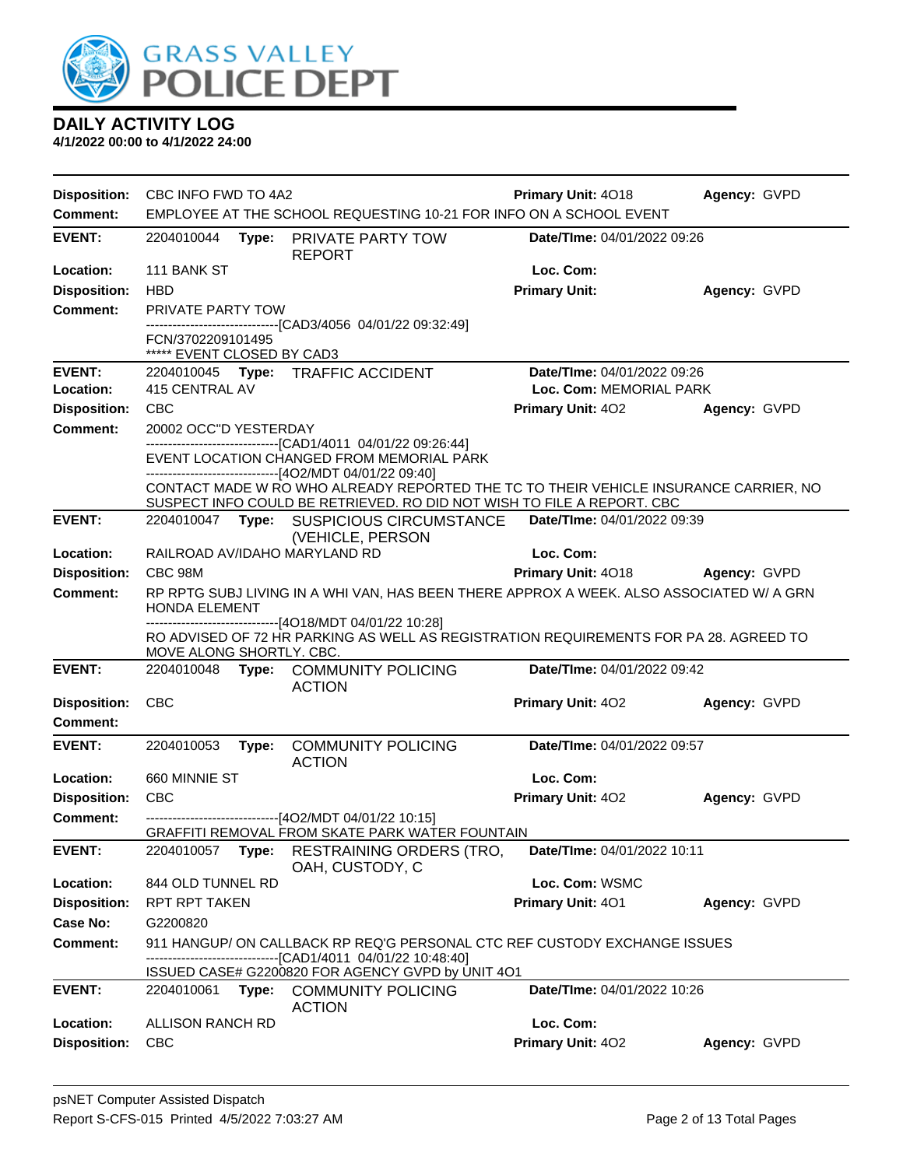

|                            | Disposition: CBC INFO FWD TO 4A2 |       |                                                                                          | Primary Unit: 4018                                     | Agency: GVPD |
|----------------------------|----------------------------------|-------|------------------------------------------------------------------------------------------|--------------------------------------------------------|--------------|
| <b>Comment:</b>            |                                  |       | EMPLOYEE AT THE SCHOOL REQUESTING 10-21 FOR INFO ON A SCHOOL EVENT                       |                                                        |              |
| <b>EVENT:</b>              | 2204010044                       |       | Type: PRIVATE PARTY TOW<br><b>REPORT</b>                                                 | Date/TIme: 04/01/2022 09:26                            |              |
| Location:                  | 111 BANK ST                      |       |                                                                                          | Loc. Com:                                              |              |
| <b>Disposition:</b>        | <b>HBD</b>                       |       |                                                                                          | <b>Primary Unit:</b>                                   | Agency: GVPD |
| <b>Comment:</b>            | PRIVATE PARTY TOW                |       |                                                                                          |                                                        |              |
|                            | FCN/3702209101495                |       | --------------------[CAD3/4056_04/01/22_09:32:49]                                        |                                                        |              |
|                            | ***** EVENT CLOSED BY CAD3       |       |                                                                                          |                                                        |              |
| <b>EVENT:</b><br>Location: | 415 CENTRAL AV                   |       | 2204010045 Type: TRAFFIC ACCIDENT                                                        | Date/TIme: 04/01/2022 09:26<br>Loc. Com: MEMORIAL PARK |              |
|                            |                                  |       |                                                                                          |                                                        |              |
| <b>Disposition:</b>        | <b>CBC</b>                       |       |                                                                                          | <b>Primary Unit: 402</b>                               | Agency: GVPD |
| <b>Comment:</b>            | 20002 OCC"D YESTERDAY            |       | ------------------------------[CAD1/4011 04/01/22 09:26:44]                              |                                                        |              |
|                            |                                  |       | EVENT LOCATION CHANGED FROM MEMORIAL PARK                                                |                                                        |              |
|                            |                                  |       | -------------------------------[4O2/MDT 04/01/22 09:40]                                  |                                                        |              |
|                            |                                  |       | CONTACT MADE W RO WHO ALREADY REPORTED THE TC TO THEIR VEHICLE INSURANCE CARRIER, NO     |                                                        |              |
| <b>EVENT:</b>              |                                  |       | SUSPECT INFO COULD BE RETRIEVED. RO DID NOT WISH TO FILE A REPORT. CBC                   | Date/TIme: 04/01/2022 09:39                            |              |
|                            |                                  |       | 2204010047 Type: SUSPICIOUS CIRCUMSTANCE<br>(VEHICLE, PERSON                             |                                                        |              |
| Location:                  |                                  |       | RAILROAD AV/IDAHO MARYLAND RD                                                            | Loc. Com:                                              |              |
| <b>Disposition:</b>        | CBC 98M                          |       |                                                                                          | Primary Unit: 4018                                     | Agency: GVPD |
| <b>Comment:</b>            |                                  |       | RP RPTG SUBJ LIVING IN A WHI VAN, HAS BEEN THERE APPROX A WEEK. ALSO ASSOCIATED W/ A GRN |                                                        |              |
|                            | <b>HONDA ELEMENT</b>             |       |                                                                                          |                                                        |              |
|                            |                                  |       | -------------------------------[4O18/MDT 04/01/22 10:28]                                 |                                                        |              |
|                            |                                  |       | RO ADVISED OF 72 HR PARKING AS WELL AS REGISTRATION REQUIREMENTS FOR PA 28. AGREED TO    |                                                        |              |
| <b>EVENT:</b>              | MOVE ALONG SHORTLY. CBC.         |       | 2204010048 Type: COMMUNITY POLICING                                                      | Date/TIme: 04/01/2022 09:42                            |              |
|                            |                                  |       | <b>ACTION</b>                                                                            |                                                        |              |
| <b>Disposition:</b>        | <b>CBC</b>                       |       |                                                                                          | Primary Unit: 402                                      | Agency: GVPD |
| <b>Comment:</b>            |                                  |       |                                                                                          |                                                        |              |
| <b>EVENT:</b>              | 2204010053                       | Type: | <b>COMMUNITY POLICING</b>                                                                | Date/TIme: 04/01/2022 09:57                            |              |
| Location:                  | 660 MINNIE ST                    |       | <b>ACTION</b>                                                                            | Loc. Com:                                              |              |
| <b>Disposition:</b>        | <b>CBC</b>                       |       |                                                                                          | Primary Unit: 402                                      | Agency: GVPD |
| <b>Comment:</b>            |                                  |       | -------------------------------[4O2/MDT 04/01/22 10:15]                                  |                                                        |              |
|                            |                                  |       | GRAFFITI REMOVAL FROM SKATE PARK WATER FOUNTAIN                                          |                                                        |              |
| <b>EVENT:</b>              | 2204010057                       | Type: | <b>RESTRAINING ORDERS (TRO,</b><br>OAH, CUSTODY, C                                       | Date/TIme: 04/01/2022 10:11                            |              |
| Location:                  | 844 OLD TUNNEL RD                |       |                                                                                          | Loc. Com: WSMC                                         |              |
| <b>Disposition:</b>        | <b>RPT RPT TAKEN</b>             |       |                                                                                          | Primary Unit: 401                                      | Agency: GVPD |
| <b>Case No:</b>            | G2200820                         |       |                                                                                          |                                                        |              |
| Comment:                   |                                  |       | 911 HANGUP/ ON CALLBACK RP REQ'G PERSONAL CTC REF CUSTODY EXCHANGE ISSUES                |                                                        |              |
|                            |                                  |       | -[CAD1/4011 04/01/22 10:48:40]                                                           |                                                        |              |
|                            |                                  |       | ISSUED CASE# G2200820 FOR AGENCY GVPD by UNIT 4O1                                        |                                                        |              |
| <b>EVENT:</b>              | 2204010061                       |       | Type: COMMUNITY POLICING<br><b>ACTION</b>                                                | Date/TIme: 04/01/2022 10:26                            |              |
| Location:                  | ALLISON RANCH RD                 |       |                                                                                          | Loc. Com:                                              |              |
| <b>Disposition:</b>        | <b>CBC</b>                       |       |                                                                                          | Primary Unit: 402                                      | Agency: GVPD |
|                            |                                  |       |                                                                                          |                                                        |              |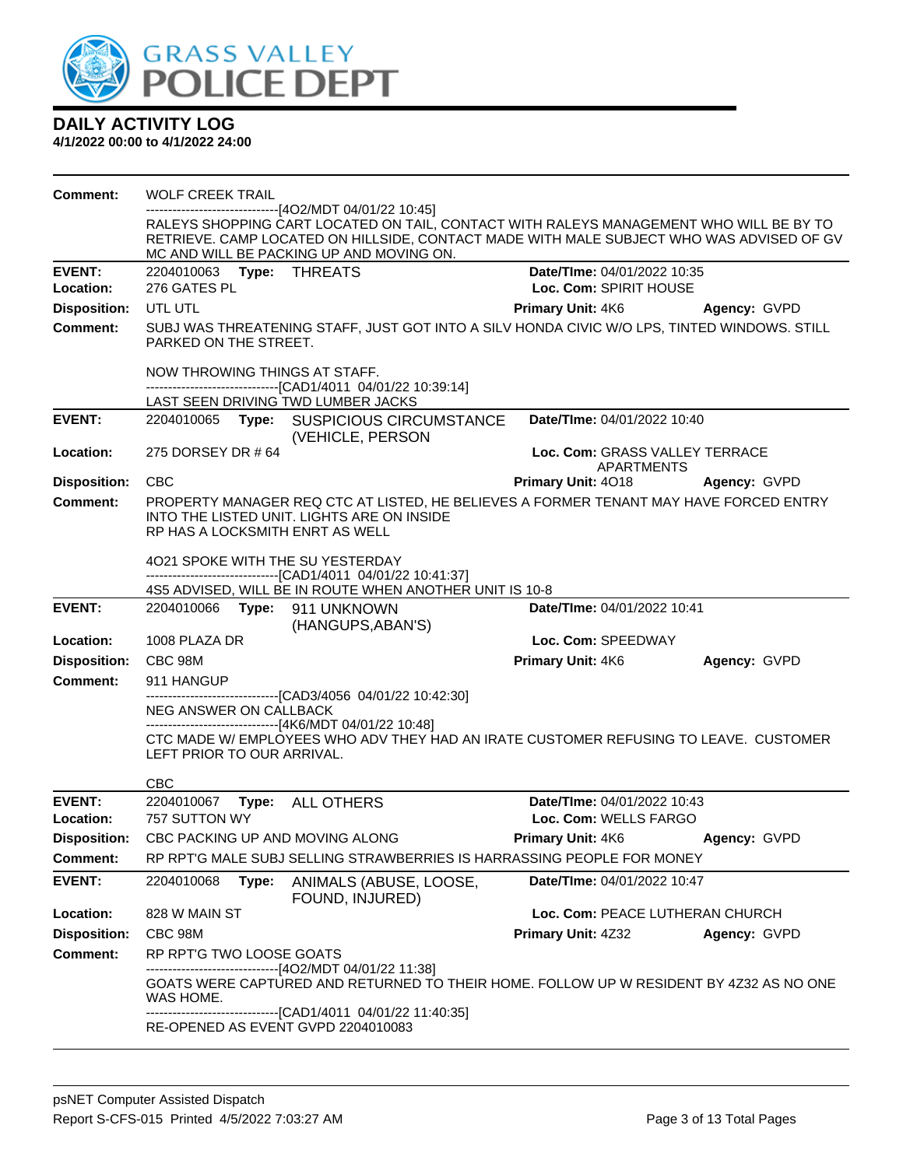

| <b>Comment:</b>     | <b>WOLF CREEK TRAIL</b>                                                                                                                  |                                                                                                                                              |                                                     |              |
|---------------------|------------------------------------------------------------------------------------------------------------------------------------------|----------------------------------------------------------------------------------------------------------------------------------------------|-----------------------------------------------------|--------------|
|                     | ----------------------[4O2/MDT 04/01/22 10:45]<br>RALEYS SHOPPING CART LOCATED ON TAIL, CONTACT WITH RALEYS MANAGEMENT WHO WILL BE BY TO |                                                                                                                                              |                                                     |              |
|                     |                                                                                                                                          | RETRIEVE. CAMP LOCATED ON HILLSIDE, CONTACT MADE WITH MALE SUBJECT WHO WAS ADVISED OF GV                                                     |                                                     |              |
|                     |                                                                                                                                          | MC AND WILL BE PACKING UP AND MOVING ON.                                                                                                     |                                                     |              |
| <b>EVENT:</b>       | 2204010063    Type: THREATS                                                                                                              |                                                                                                                                              | Date/TIme: 04/01/2022 10:35                         |              |
| Location:           | 276 GATES PL                                                                                                                             |                                                                                                                                              | Loc. Com: SPIRIT HOUSE                              |              |
| <b>Disposition:</b> | UTL UTL                                                                                                                                  |                                                                                                                                              | Primary Unit: 4K6                                   | Agency: GVPD |
| <b>Comment:</b>     | PARKED ON THE STREET.                                                                                                                    | SUBJ WAS THREATENING STAFF, JUST GOT INTO A SILV HONDA CIVIC W/O LPS, TINTED WINDOWS. STILL                                                  |                                                     |              |
|                     | NOW THROWING THINGS AT STAFF.                                                                                                            | -------------------------------[CAD1/4011 04/01/22 10:39:14]                                                                                 |                                                     |              |
|                     | LAST SEEN DRIVING TWD LUMBER JACKS                                                                                                       |                                                                                                                                              |                                                     |              |
| <b>EVENT:</b>       |                                                                                                                                          | 2204010065 Type: SUSPICIOUS CIRCUMSTANCE<br>(VEHICLE, PERSON                                                                                 | Date/TIme: 04/01/2022 10:40                         |              |
| Location:           | 275 DORSEY DR #64                                                                                                                        |                                                                                                                                              | Loc. Com: GRASS VALLEY TERRACE<br><b>APARTMENTS</b> |              |
| <b>Disposition:</b> | CBC                                                                                                                                      |                                                                                                                                              | Primary Unit: 4018                                  | Agency: GVPD |
| Comment:            | RP HAS A LOCKSMITH ENRT AS WELL                                                                                                          | PROPERTY MANAGER REQ CTC AT LISTED, HE BELIEVES A FORMER TENANT MAY HAVE FORCED ENTRY<br>INTO THE LISTED UNIT. LIGHTS ARE ON INSIDE          |                                                     |              |
|                     | 4021 SPOKE WITH THE SU YESTERDAY                                                                                                         |                                                                                                                                              |                                                     |              |
|                     |                                                                                                                                          | --------------------------------[CAD1/4011 04/01/22 10:41:37]                                                                                |                                                     |              |
| <b>EVENT:</b>       |                                                                                                                                          | 4S5 ADVISED, WILL BE IN ROUTE WHEN ANOTHER UNIT IS 10-8                                                                                      | Date/TIme: 04/01/2022 10:41                         |              |
|                     | 2204010066 Type: 911 UNKNOWN                                                                                                             | (HANGUPS, ABAN'S)                                                                                                                            |                                                     |              |
| Location:           | 1008 PLAZA DR                                                                                                                            |                                                                                                                                              | Loc. Com: SPEEDWAY                                  |              |
| <b>Disposition:</b> | CBC 98M                                                                                                                                  |                                                                                                                                              | Primary Unit: 4K6                                   | Agency: GVPD |
| <b>Comment:</b>     | 911 HANGUP                                                                                                                               |                                                                                                                                              |                                                     |              |
|                     | NEG ANSWER ON CALLBACK                                                                                                                   | -------------------------------[CAD3/4056 04/01/22 10:42:30]                                                                                 |                                                     |              |
|                     |                                                                                                                                          | -------------------------------[4K6/MDT 04/01/22 10:48]                                                                                      |                                                     |              |
|                     | LEFT PRIOR TO OUR ARRIVAL.                                                                                                               | CTC MADE W/ EMPLOYEES WHO ADV THEY HAD AN IRATE CUSTOMER REFUSING TO LEAVE. CUSTOMER                                                         |                                                     |              |
|                     | <b>CBC</b>                                                                                                                               |                                                                                                                                              |                                                     |              |
| EVENT:              | 2204010067<br>Type:                                                                                                                      | <b>ALL OTHERS</b>                                                                                                                            | Date/TIme: 04/01/2022 10:43                         |              |
| Location:           | 757 SUTTON WY                                                                                                                            |                                                                                                                                              | Loc. Com: WELLS FARGO                               |              |
| <b>Disposition:</b> | CBC PACKING UP AND MOVING ALONG                                                                                                          |                                                                                                                                              | Primary Unit: 4K6                                   | Agency: GVPD |
| <b>Comment:</b>     |                                                                                                                                          | RP RPT'G MALE SUBJ SELLING STRAWBERRIES IS HARRASSING PEOPLE FOR MONEY                                                                       |                                                     |              |
| <b>EVENT:</b>       | 2204010068<br>Type:                                                                                                                      | ANIMALS (ABUSE, LOOSE,<br>FOUND, INJURED)                                                                                                    | Date/TIme: 04/01/2022 10:47                         |              |
| Location:           | 828 W MAIN ST                                                                                                                            |                                                                                                                                              | Loc. Com: PEACE LUTHERAN CHURCH                     |              |
| <b>Disposition:</b> | <b>CBC 98M</b>                                                                                                                           |                                                                                                                                              | Primary Unit: 4Z32                                  | Agency: GVPD |
| <b>Comment:</b>     | RP RPT'G TWO LOOSE GOATS                                                                                                                 |                                                                                                                                              |                                                     |              |
|                     | WAS HOME.                                                                                                                                | --------------------------[4O2/MDT 04/01/22 11:38]<br>GOATS WERE CAPTURED AND RETURNED TO THEIR HOME. FOLLOW UP W RESIDENT BY 4Z32 AS NO ONE |                                                     |              |
|                     | RE-OPENED AS EVENT GVPD 2204010083                                                                                                       | ----------------------------[CAD1/4011_04/01/22 11:40:35]                                                                                    |                                                     |              |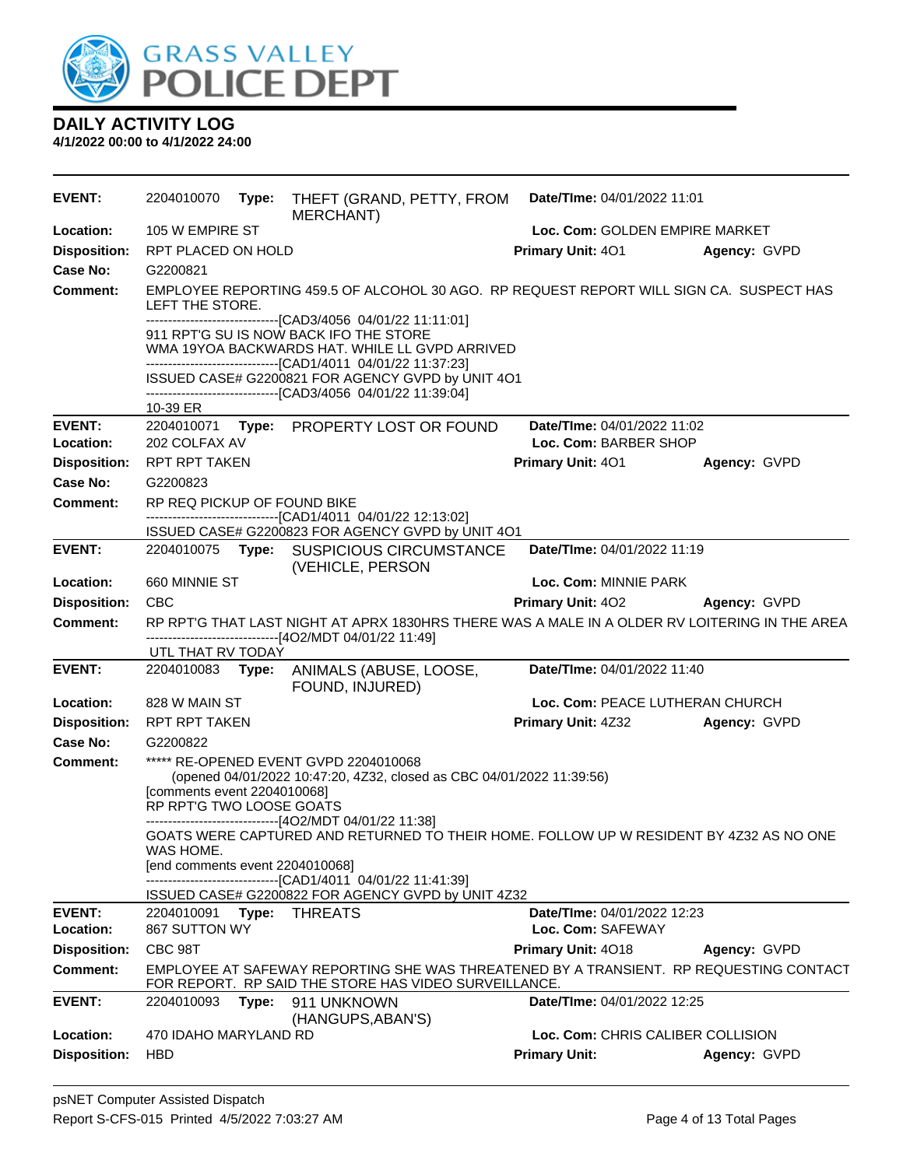

#### **DAILY ACTIVITY LOG 4/1/2022 00:00 to 4/1/2022 24:00**

**EVENT:** 2204010070 **Type:** THEFT (GRAND, PETTY, FROM MERCHANT) **Date/TIme:** 04/01/2022 11:01 **Location:** 105 W EMPIRE ST **Loc. Com:** GOLDEN EMPIRE MARKET **Disposition:** RPT PLACED ON HOLD **Primary Unit:** 4O1 **Agency:** GVPD **Case No:** G2200821 **Comment:** EMPLOYEE REPORTING 459.5 OF ALCOHOL 30 AGO. RP REQUEST REPORT WILL SIGN CA. SUSPECT HAS LEFT THE STORE. ------------------------------[CAD3/4056 04/01/22 11:11:01] 911 RPT'G SU IS NOW BACK IFO THE STORE WMA 19YOA BACKWARDS HAT. WHILE LL GVPD ARRIVED ------------------------------[CAD1/4011 04/01/22 11:37:23] ISSUED CASE# G2200821 FOR AGENCY GVPD by UNIT 4O1 ------------------------------[CAD3/4056 04/01/22 11:39:04] 10-39 ER **EVENT:** 2204010071 **Type:** PROPERTY LOST OR FOUND **Date/TIme:** 04/01/2022 11:02 **Location:** 202 COLFAX AV **Loc. Com:** BARBER SHOP **Disposition:** RPT RPT TAKEN **Primary Unit:** 4O1 **Agency:** GVPD **Case No:** G2200823 Comment: RP REQ PICKUP OF FOUND BIKE ------------------------------[CAD1/4011 04/01/22 12:13:02] ISSUED CASE# G2200823 FOR AGENCY GVPD by UNIT 4O1 **EVENT:** 2204010075 **Type:** SUSPICIOUS CIRCUMSTANCE (VEHICLE, PERSON **Date/TIme:** 04/01/2022 11:19 **Location:** 660 MINNIE ST **Loc. Com:** MINNIE PARK **Disposition:** CBC **Primary Unit:** 4O2 **Agency:** GVPD **Comment:** RP RPT'G THAT LAST NIGHT AT APRX 1830HRS THERE WAS A MALE IN A OLDER RV LOITERING IN THE AREA ------------------------------[4O2/MDT 04/01/22 11:49] UTL THAT RV TODAY **EVENT:** 2204010083 **Type:** ANIMALS (ABUSE, LOOSE, FOUND, INJURED) **Date/TIme:** 04/01/2022 11:40 **Location:** 828 W MAIN ST **Loc. Com:** PEACE LUTHERAN CHURCH **Disposition:** RPT RPT TAKEN **Primary Unit:** 4Z32 **Agency:** GVPD **Case No:** G2200822 **Comment:** \*\*\*\*\* RE-OPENED EVENT GVPD 2204010068 (opened 04/01/2022 10:47:20, 4Z32, closed as CBC 04/01/2022 11:39:56) [comments event 2204010068] RP RPT'G TWO LOOSE GOATS ------------------------------[4O2/MDT 04/01/22 11:38] GOATS WERE CAPTURED AND RETURNED TO THEIR HOME. FOLLOW UP W RESIDENT BY 4Z32 AS NO ONE WAS HOME. [end comments event 2204010068] ------------------------------[CAD1/4011 04/01/22 11:41:39] ISSUED CASE# G2200822 FOR AGENCY GVPD by UNIT 4Z32 **EVENT:** 2204010091 **Type:** THREATS **Date/TIme:** 04/01/2022 12:23 **Location:** 867 SUTTON WY **Loc. Com:** SAFEWAY **Disposition:** CBC 98T **Primary Unit:** 4O18 **Agency:** GVPD **Comment:** EMPLOYEE AT SAFEWAY REPORTING SHE WAS THREATENED BY A TRANSIENT. RP REQUESTING CONTACT FOR REPORT. RP SAID THE STORE HAS VIDEO SURVEILLANCE. **EVENT:** 2204010093 **Type:** 911 UNKNOWN (HANGUPS,ABAN'S) **Date/TIme:** 04/01/2022 12:25 **Location:** 470 IDAHO MARYLAND RD **Loc. Com:** CHRIS CALIBER COLLISION **Disposition:** HBD **Primary Unit: Agency:** GVPD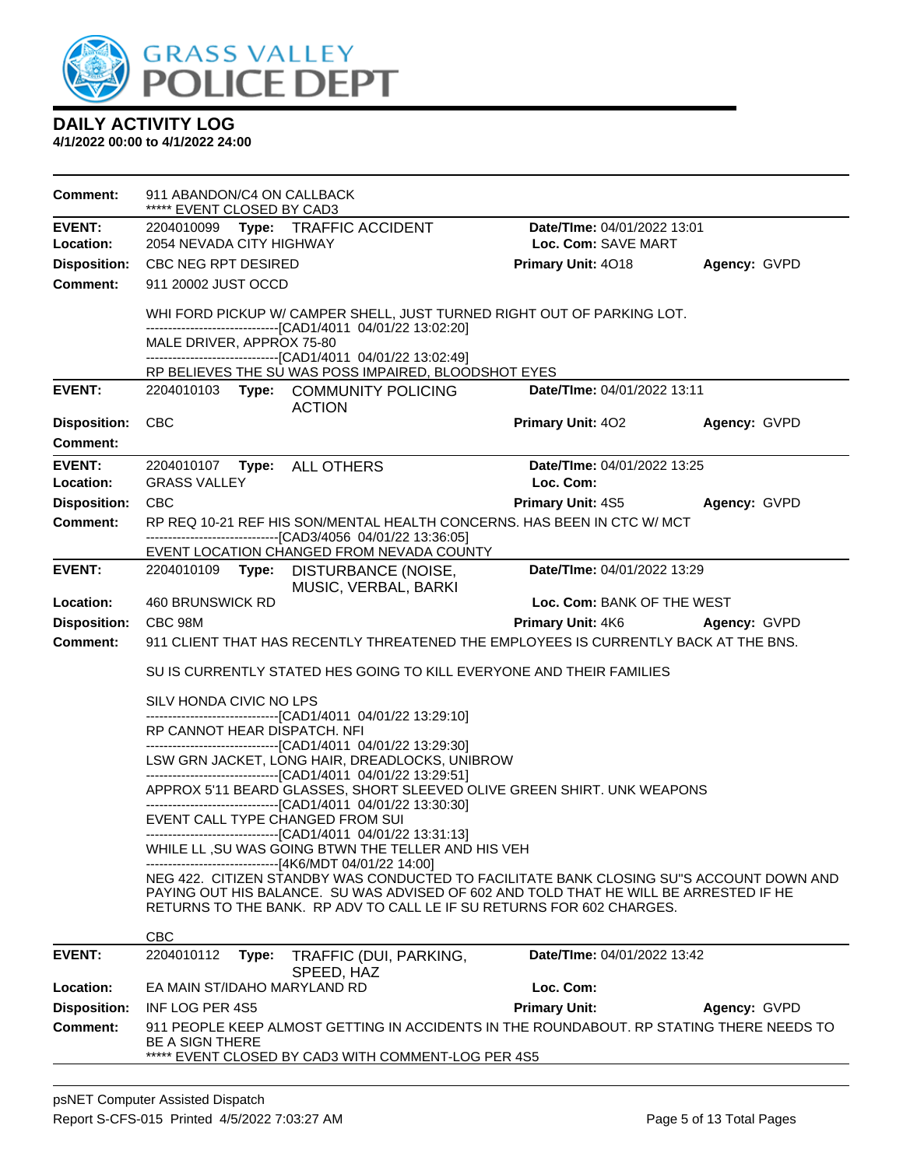

| <b>Comment:</b>     | 911 ABANDON/C4 ON CALLBACK<br>***** EVENT CLOSED BY CAD3                                                                              |       |                                                                                                                                                                                                                                                           |                             |                                |
|---------------------|---------------------------------------------------------------------------------------------------------------------------------------|-------|-----------------------------------------------------------------------------------------------------------------------------------------------------------------------------------------------------------------------------------------------------------|-----------------------------|--------------------------------|
| <b>EVENT:</b>       |                                                                                                                                       |       | 2204010099 Type: TRAFFIC ACCIDENT                                                                                                                                                                                                                         | Date/TIme: 04/01/2022 13:01 |                                |
| Location:           | 2054 NEVADA CITY HIGHWAY                                                                                                              |       |                                                                                                                                                                                                                                                           | Loc. Com: SAVE MART         |                                |
| <b>Disposition:</b> | CBC NEG RPT DESIRED                                                                                                                   |       |                                                                                                                                                                                                                                                           | <b>Primary Unit: 4018</b>   | Agency: GVPD                   |
| <b>Comment:</b>     | 911 20002 JUST OCCD                                                                                                                   |       |                                                                                                                                                                                                                                                           |                             |                                |
|                     | WHI FORD PICKUP W/ CAMPER SHELL, JUST TURNED RIGHT OUT OF PARKING LOT.<br>------------------------------[CAD1/4011_04/01/22 13:02:20] |       |                                                                                                                                                                                                                                                           |                             |                                |
|                     | MALE DRIVER, APPROX 75-80                                                                                                             |       | ------------------------------[CAD1/4011 04/01/22 13:02:49]                                                                                                                                                                                               |                             |                                |
|                     |                                                                                                                                       |       | RP BELIEVES THE SU WAS POSS IMPAIRED, BLOODSHOT EYES                                                                                                                                                                                                      |                             |                                |
| <b>EVENT:</b>       |                                                                                                                                       |       | 2204010103 Type: COMMUNITY POLICING<br><b>ACTION</b>                                                                                                                                                                                                      | Date/TIme: 04/01/2022 13:11 |                                |
| <b>Disposition:</b> | <b>CBC</b>                                                                                                                            |       |                                                                                                                                                                                                                                                           | <b>Primary Unit: 402</b>    | Agency: GVPD                   |
| <b>Comment:</b>     |                                                                                                                                       |       |                                                                                                                                                                                                                                                           |                             |                                |
| <b>EVENT:</b>       | 2204010107                                                                                                                            |       | Type: ALL OTHERS                                                                                                                                                                                                                                          | Date/TIme: 04/01/2022 13:25 |                                |
| Location:           | <b>GRASS VALLEY</b>                                                                                                                   |       |                                                                                                                                                                                                                                                           | Loc. Com:                   |                                |
| <b>Disposition:</b> | <b>CBC</b>                                                                                                                            |       |                                                                                                                                                                                                                                                           | <b>Primary Unit: 4S5</b>    | Agency: GVPD                   |
| <b>Comment:</b>     |                                                                                                                                       |       | RP REQ 10-21 REF HIS SON/MENTAL HEALTH CONCERNS. HAS BEEN IN CTC W/ MCT                                                                                                                                                                                   |                             |                                |
|                     | -------------------------------[CAD3/4056_04/01/22 13:36:05]<br>EVENT LOCATION CHANGED FROM NEVADA COUNTY                             |       |                                                                                                                                                                                                                                                           |                             |                                |
| <b>EVENT:</b>       |                                                                                                                                       |       | 2204010109 Type: DISTURBANCE (NOISE,                                                                                                                                                                                                                      | Date/TIme: 04/01/2022 13:29 |                                |
|                     |                                                                                                                                       |       | MUSIC, VERBAL, BARKI                                                                                                                                                                                                                                      |                             |                                |
| Location:           | <b>460 BRUNSWICK RD</b>                                                                                                               |       |                                                                                                                                                                                                                                                           | Loc. Com: BANK OF THE WEST  |                                |
| <b>Disposition:</b> | CBC 98M                                                                                                                               |       |                                                                                                                                                                                                                                                           |                             | Primary Unit: 4K6 Agency: GVPD |
| <b>Comment:</b>     |                                                                                                                                       |       | 911 CLIENT THAT HAS RECENTLY THREATENED THE EMPLOYEES IS CURRENTLY BACK AT THE BNS.                                                                                                                                                                       |                             |                                |
|                     |                                                                                                                                       |       | SU IS CURRENTLY STATED HES GOING TO KILL EVERYONE AND THEIR FAMILIES                                                                                                                                                                                      |                             |                                |
|                     | SILV HONDA CIVIC NO LPS                                                                                                               |       |                                                                                                                                                                                                                                                           |                             |                                |
|                     | RP CANNOT HEAR DISPATCH. NFI                                                                                                          |       | -------------------------------[CAD1/4011_04/01/22_13:29:10]                                                                                                                                                                                              |                             |                                |
|                     |                                                                                                                                       |       | -------------------------------[CAD1/4011_04/01/22 13:29:30]                                                                                                                                                                                              |                             |                                |
|                     |                                                                                                                                       |       | LSW GRN JACKET, LONG HAIR, DREADLOCKS, UNIBROW<br>------------------------------[CAD1/4011 04/01/22 13:29:51]                                                                                                                                             |                             |                                |
|                     |                                                                                                                                       |       | APPROX 5'11 BEARD GLASSES, SHORT SLEEVED OLIVE GREEN SHIRT. UNK WEAPONS<br>--------------------------------[CAD1/4011 04/01/22 13:30:30]                                                                                                                  |                             |                                |
|                     |                                                                                                                                       |       | EVENT CALL TYPE CHANGED FROM SUI<br>--------------------------------[CAD1/4011_04/01/22 13:31:13]                                                                                                                                                         |                             |                                |
|                     |                                                                                                                                       |       | WHILE LL, SU WAS GOING BTWN THE TELLER AND HIS VEH                                                                                                                                                                                                        |                             |                                |
|                     |                                                                                                                                       |       | -----------------------[4K6/MDT 04/01/22 14:00]                                                                                                                                                                                                           |                             |                                |
|                     |                                                                                                                                       |       | NEG 422. CITIZEN STANDBY WAS CONDUCTED TO FACILITATE BANK CLOSING SU"S ACCOUNT DOWN AND<br>PAYING OUT HIS BALANCE. SU WAS ADVISED OF 602 AND TOLD THAT HE WILL BE ARRESTED IF HE<br>RETURNS TO THE BANK. RP ADV TO CALL LE IF SU RETURNS FOR 602 CHARGES. |                             |                                |
|                     | <b>CBC</b>                                                                                                                            |       |                                                                                                                                                                                                                                                           |                             |                                |
| <b>EVENT:</b>       | 2204010112                                                                                                                            | Type: | TRAFFIC (DUI, PARKING,<br>SPEED, HAZ                                                                                                                                                                                                                      | Date/TIme: 04/01/2022 13:42 |                                |
| Location:           | EA MAIN ST/IDAHO MARYLAND RD                                                                                                          |       |                                                                                                                                                                                                                                                           | Loc. Com:                   |                                |
| <b>Disposition:</b> | INF LOG PER 4S5                                                                                                                       |       |                                                                                                                                                                                                                                                           | <b>Primary Unit:</b>        | Agency: GVPD                   |
| <b>Comment:</b>     | <b>BE A SIGN THERE</b>                                                                                                                |       | 911 PEOPLE KEEP ALMOST GETTING IN ACCIDENTS IN THE ROUNDABOUT. RP STATING THERE NEEDS TO<br>***** EVENT CLOSED BY CAD3 WITH COMMENT-LOG PER 4S5                                                                                                           |                             |                                |
|                     |                                                                                                                                       |       |                                                                                                                                                                                                                                                           |                             |                                |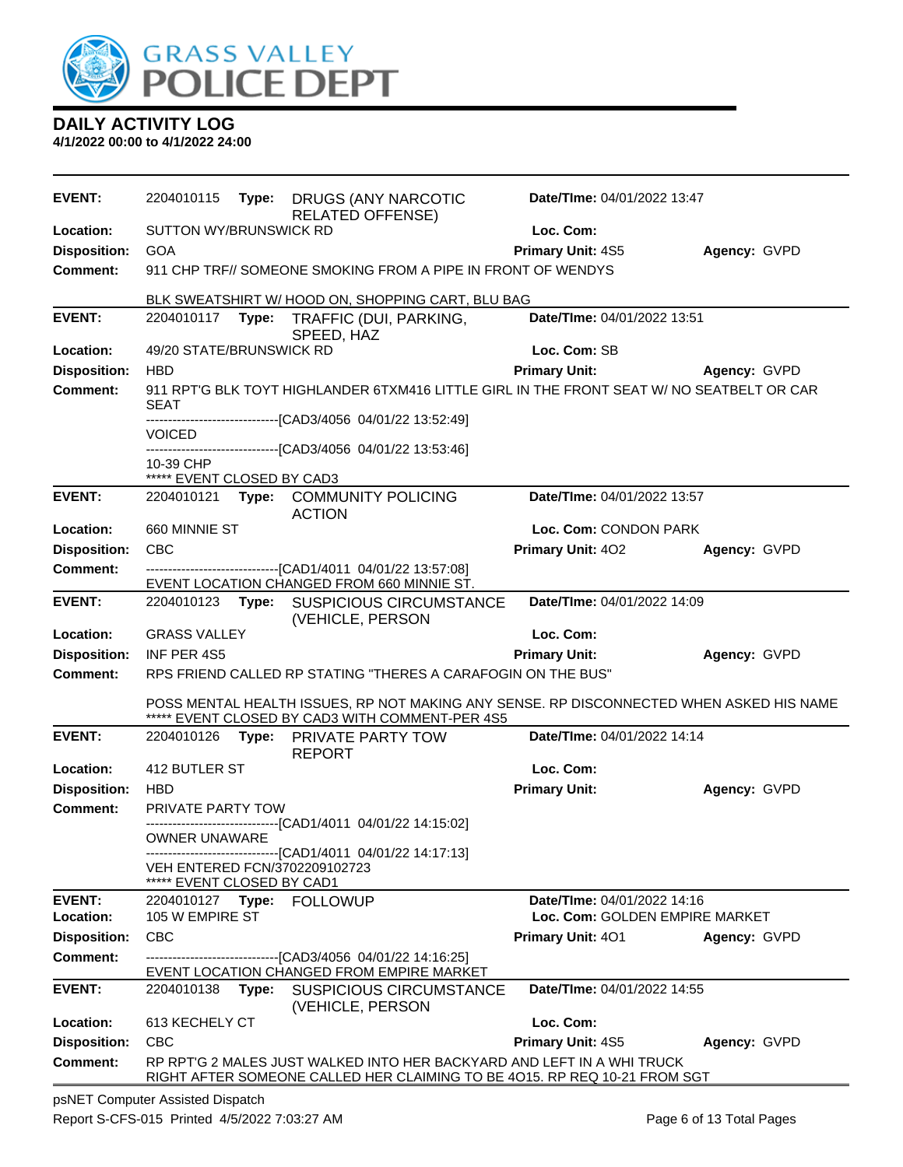

**4/1/2022 00:00 to 4/1/2022 24:00**

| <b>EVENT:</b>       | 2204010115                 |       | Type: DRUGS (ANY NARCOTIC<br><b>RELATED OFFENSE)</b>                                                                                                | Date/TIme: 04/01/2022 13:47    |              |
|---------------------|----------------------------|-------|-----------------------------------------------------------------------------------------------------------------------------------------------------|--------------------------------|--------------|
| Location:           | SUTTON WY/BRUNSWICK RD     |       |                                                                                                                                                     | Loc. Com:                      |              |
| <b>Disposition:</b> | <b>GOA</b>                 |       |                                                                                                                                                     | Primary Unit: 4S5              | Agency: GVPD |
| <b>Comment:</b>     |                            |       | 911 CHP TRF// SOMEONE SMOKING FROM A PIPE IN FRONT OF WENDYS                                                                                        |                                |              |
|                     |                            |       | BLK SWEATSHIRT W/ HOOD ON, SHOPPING CART, BLU BAG                                                                                                   |                                |              |
| <b>EVENT:</b>       |                            |       | 2204010117 Type: TRAFFIC (DUI, PARKING,<br>SPEED, HAZ                                                                                               | Date/TIme: 04/01/2022 13:51    |              |
| Location:           | 49/20 STATE/BRUNSWICK RD   |       |                                                                                                                                                     | Loc. Com: SB                   |              |
| <b>Disposition:</b> | <b>HBD</b>                 |       |                                                                                                                                                     | <b>Primary Unit:</b>           | Agency: GVPD |
| <b>Comment:</b>     | <b>SEAT</b>                |       | 911 RPT'G BLK TOYT HIGHLANDER 6TXM416 LITTLE GIRL IN THE FRONT SEAT W/ NO SEATBELT OR CAR                                                           |                                |              |
|                     | <b>VOICED</b>              |       | --------------------------------[CAD3/4056 04/01/22 13:52:49]                                                                                       |                                |              |
|                     |                            |       | ------------------------------[CAD3/4056 04/01/22 13:53:46]                                                                                         |                                |              |
|                     | 10-39 CHP                  |       |                                                                                                                                                     |                                |              |
|                     | ***** EVENT CLOSED BY CAD3 |       |                                                                                                                                                     |                                |              |
| <b>EVENT:</b>       |                            |       | 2204010121 Type: COMMUNITY POLICING<br><b>ACTION</b>                                                                                                | Date/TIme: 04/01/2022 13:57    |              |
| Location:           | 660 MINNIE ST              |       |                                                                                                                                                     | Loc. Com: CONDON PARK          |              |
| <b>Disposition:</b> | CBC                        |       |                                                                                                                                                     | Primary Unit: 402              | Agency: GVPD |
| Comment:            |                            |       | ----------------------------------[CAD1/4011 04/01/22 13:57:08]<br>EVENT LOCATION CHANGED FROM 660 MINNIE ST.                                       |                                |              |
| <b>EVENT:</b>       | 2204010123 Type:           |       | <b>SUSPICIOUS CIRCUMSTANCE</b><br>(VEHICLE, PERSON                                                                                                  | Date/TIme: 04/01/2022 14:09    |              |
| Location:           | <b>GRASS VALLEY</b>        |       |                                                                                                                                                     | Loc. Com:                      |              |
| <b>Disposition:</b> | INF PER 4S5                |       |                                                                                                                                                     | <b>Primary Unit:</b>           | Agency: GVPD |
| <b>Comment:</b>     |                            |       | RPS FRIEND CALLED RP STATING "THERES A CARAFOGIN ON THE BUS"                                                                                        |                                |              |
|                     |                            |       | POSS MENTAL HEALTH ISSUES, RP NOT MAKING ANY SENSE. RP DISCONNECTED WHEN ASKED HIS NAME<br>***** EVENT CLOSED BY CAD3 WITH COMMENT-PER 4S5          |                                |              |
| <b>EVENT:</b>       | 2204010126                 | Type: | PRIVATE PARTY TOW<br><b>REPORT</b>                                                                                                                  | Date/TIme: 04/01/2022 14:14    |              |
| Location:           | 412 BUTLER ST              |       |                                                                                                                                                     | Loc. Com:                      |              |
| <b>Disposition:</b> | <b>HBD</b>                 |       |                                                                                                                                                     | <b>Primary Unit:</b>           | Agency: GVPD |
| Comment:            | <b>PRIVATE PARTY TOW</b>   |       |                                                                                                                                                     |                                |              |
|                     | <b>OWNER UNAWARE</b>       |       | ----------------------------[CAD1/4011_04/01/22 14:15:02]                                                                                           |                                |              |
|                     | ***** EVENT CLOSED BY CAD1 |       | -------------------------------[CAD1/4011 04/01/22 14:17:13]<br>VEH ENTERED FCN/3702209102723                                                       |                                |              |
| <b>EVENT:</b>       |                            |       |                                                                                                                                                     | Date/TIme: 04/01/2022 14:16    |              |
| Location:           | 105 W EMPIRE ST            |       |                                                                                                                                                     | Loc. Com: GOLDEN EMPIRE MARKET |              |
| <b>Disposition:</b> | <b>CBC</b>                 |       |                                                                                                                                                     | <b>Primary Unit: 401</b>       | Agency: GVPD |
| Comment:            |                            |       | --------------------------[CAD3/4056_04/01/22 14:16:25]<br>EVENT LOCATION CHANGED FROM EMPIRE MARKET                                                |                                |              |
| <b>EVENT:</b>       | 2204010138                 | Type: | <b>SUSPICIOUS CIRCUMSTANCE</b><br>(VEHICLE, PERSON                                                                                                  | Date/TIme: 04/01/2022 14:55    |              |
| Location:           | 613 KECHELY CT             |       |                                                                                                                                                     | Loc. Com:                      |              |
| <b>Disposition:</b> | <b>CBC</b>                 |       |                                                                                                                                                     | <b>Primary Unit: 4S5</b>       | Agency: GVPD |
| <b>Comment:</b>     |                            |       | RP RPT'G 2 MALES JUST WALKED INTO HER BACKYARD AND LEFT IN A WHI TRUCK<br>RIGHT AFTER SOMEONE CALLED HER CLAIMING TO BE 4015. RP REQ 10-21 FROM SGT |                                |              |
|                     |                            |       |                                                                                                                                                     |                                |              |

psNET Computer Assisted Dispatch Report S-CFS-015 Printed 4/5/2022 7:03:27 AM Page 6 of 13 Total Pages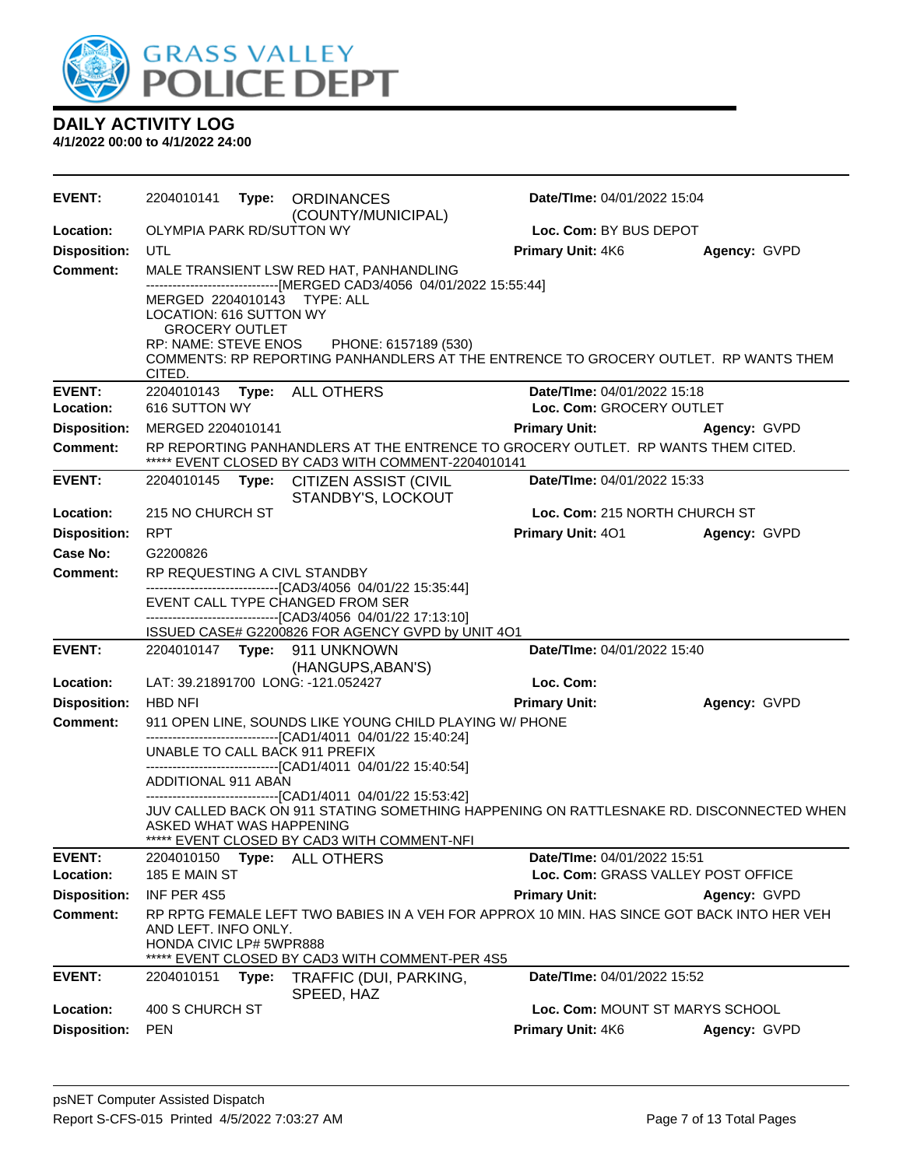

| <b>EVENT:</b>              |                                                                                 |       | 2204010141 Type: ORDINANCES<br>(COUNTY/MUNICIPAL)                                                                                                                                                      | <b>Date/Time: 04/01/2022 15:04</b>                      |                                    |
|----------------------------|---------------------------------------------------------------------------------|-------|--------------------------------------------------------------------------------------------------------------------------------------------------------------------------------------------------------|---------------------------------------------------------|------------------------------------|
| Location:                  | <b>OLYMPIA PARK RD/SUTTON WY</b>                                                |       |                                                                                                                                                                                                        | Loc. Com: BY BUS DEPOT                                  |                                    |
| <b>Disposition:</b>        | UTL                                                                             |       |                                                                                                                                                                                                        | <b>Primary Unit: 4K6</b>                                | Agency: GVPD                       |
| Comment:                   |                                                                                 |       | MALE TRANSIENT LSW RED HAT, PANHANDLING<br>------------------------------[MERGED CAD3/4056 04/01/2022 15:55:44]                                                                                        |                                                         |                                    |
|                            | MERGED 2204010143 TYPE: ALL<br>LOCATION: 616 SUTTON WY<br><b>GROCERY OUTLET</b> |       | RP: NAME: STEVE ENOS PHONE: 6157189 (530)<br>COMMENTS: RP REPORTING PANHANDLERS AT THE ENTRENCE TO GROCERY OUTLET. RP WANTS THEM                                                                       |                                                         |                                    |
|                            | CITED.                                                                          |       |                                                                                                                                                                                                        |                                                         |                                    |
| <b>EVENT:</b><br>Location: | 616 SUTTON WY                                                                   |       | 2204010143 Type: ALL OTHERS                                                                                                                                                                            | Date/TIme: 04/01/2022 15:18<br>Loc. Com: GROCERY OUTLET |                                    |
| <b>Disposition:</b>        | MERGED 2204010141                                                               |       |                                                                                                                                                                                                        | <b>Primary Unit:</b>                                    |                                    |
| <b>Comment:</b>            |                                                                                 |       | RP REPORTING PANHANDLERS AT THE ENTRENCE TO GROCERY OUTLET. RP WANTS THEM CITED.                                                                                                                       |                                                         | Agency: GVPD                       |
|                            |                                                                                 |       | ***** EVENT CLOSED BY CAD3 WITH COMMENT-2204010141                                                                                                                                                     |                                                         |                                    |
| <b>EVENT:</b>              |                                                                                 |       | 2204010145 Type: CITIZEN ASSIST (CIVIL<br>STANDBY'S, LOCKOUT                                                                                                                                           | Date/TIme: 04/01/2022 15:33                             |                                    |
| Location:                  | 215 NO CHURCH ST                                                                |       |                                                                                                                                                                                                        | Loc. Com: 215 NORTH CHURCH ST                           |                                    |
| <b>Disposition:</b>        | RPT                                                                             |       |                                                                                                                                                                                                        | <b>Primary Unit: 401</b>                                | Agency: GVPD                       |
| Case No:                   | G2200826                                                                        |       |                                                                                                                                                                                                        |                                                         |                                    |
| <b>Comment:</b>            | RP REQUESTING A CIVL STANDBY                                                    |       |                                                                                                                                                                                                        |                                                         |                                    |
|                            |                                                                                 |       | -------------------------------[CAD3/4056 04/01/22 15:35:44]<br>EVENT CALL TYPE CHANGED FROM SER                                                                                                       |                                                         |                                    |
|                            |                                                                                 |       | -------------------------------[CAD3/4056_04/01/22_17:13:10]                                                                                                                                           |                                                         |                                    |
|                            |                                                                                 |       | ISSUED CASE# G2200826 FOR AGENCY GVPD by UNIT 4O1                                                                                                                                                      |                                                         |                                    |
| <b>EVENT:</b>              |                                                                                 |       | 2204010147    Type: 911    UNKNOWN                                                                                                                                                                     | Date/TIme: 04/01/2022 15:40                             |                                    |
| Location:                  |                                                                                 |       | (HANGUPS, ABAN'S)<br>LAT: 39.21891700 LONG: -121.052427                                                                                                                                                | Loc. Com:                                               |                                    |
| <b>Disposition:</b>        | <b>HBD NFI</b>                                                                  |       |                                                                                                                                                                                                        | <b>Primary Unit:</b>                                    | Agency: GVPD                       |
| <b>Comment:</b>            |                                                                                 |       | 911 OPEN LINE, SOUNDS LIKE YOUNG CHILD PLAYING W/ PHONE                                                                                                                                                |                                                         |                                    |
|                            |                                                                                 |       | -------------------------------[CAD1/4011 04/01/22 15:40:24]                                                                                                                                           |                                                         |                                    |
|                            |                                                                                 |       | UNABLE TO CALL BACK 911 PREFIX<br>------------------------------[CAD1/4011 04/01/22 15:40:54]                                                                                                          |                                                         |                                    |
|                            | ADDITIONAL 911 ABAN                                                             |       |                                                                                                                                                                                                        |                                                         |                                    |
|                            | ASKED WHAT WAS HAPPENING                                                        |       | -------------------------------[CAD1/4011 04/01/22 15:53:42]<br>JUV CALLED BACK ON 911 STATING SOMETHING HAPPENING ON RATTLESNAKE RD. DISCONNECTED WHEN<br>***** EVENT CLOSED BY CAD3 WITH COMMENT-NFI |                                                         |                                    |
| <b>EVENT:</b>              |                                                                                 |       | 2204010150 Type: ALL OTHERS                                                                                                                                                                            | Date/TIme: 04/01/2022 15:51                             |                                    |
| <b>Location:</b>           | 185 E MAIN ST                                                                   |       |                                                                                                                                                                                                        |                                                         | Loc. Com: GRASS VALLEY POST OFFICE |
| <b>Disposition:</b>        | INF PER 4S5                                                                     |       |                                                                                                                                                                                                        | <b>Primary Unit:</b>                                    | Agency: GVPD                       |
| <b>Comment:</b>            | AND LEFT. INFO ONLY.<br>HONDA CIVIC LP# 5WPR888                                 |       | RP RPTG FEMALE LEFT TWO BABIES IN A VEH FOR APPROX 10 MIN. HAS SINCE GOT BACK INTO HER VEH<br>***** EVENT CLOSED BY CAD3 WITH COMMENT-PER 4S5                                                          |                                                         |                                    |
| <b>EVENT:</b>              | 2204010151                                                                      | Type: | TRAFFIC (DUI, PARKING,<br>SPEED, HAZ                                                                                                                                                                   | Date/TIme: 04/01/2022 15:52                             |                                    |
| Location:                  | 400 S CHURCH ST                                                                 |       |                                                                                                                                                                                                        |                                                         | Loc. Com: MOUNT ST MARYS SCHOOL    |
| <b>Disposition:</b>        | <b>PEN</b>                                                                      |       |                                                                                                                                                                                                        | Primary Unit: 4K6                                       | Agency: GVPD                       |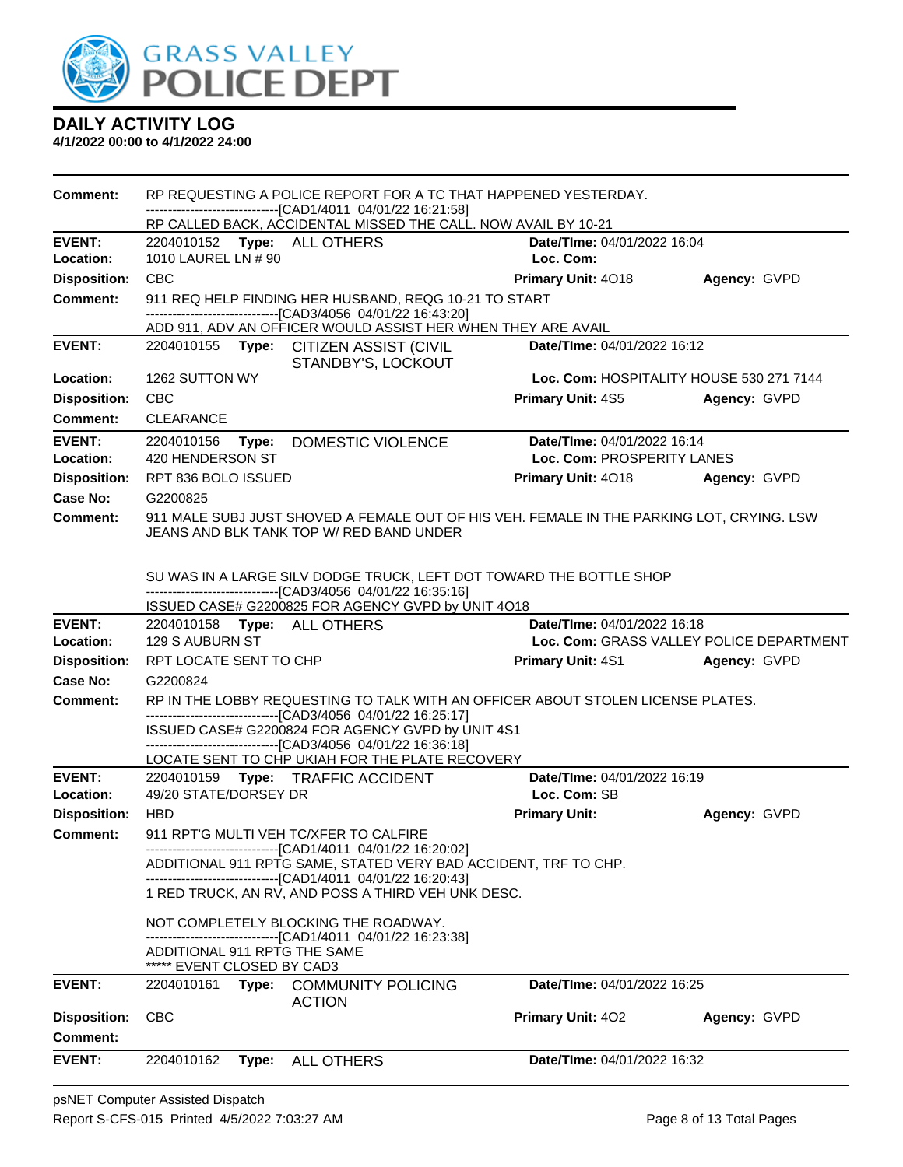

| Comment:                               | RP REQUESTING A POLICE REPORT FOR A TC THAT HAPPENED YESTERDAY.<br>-------------------------------[CAD1/4011_04/01/22 16:21:58]<br>RP CALLED BACK, ACCIDENTAL MISSED THE CALL. NOW AVAIL BY 10-21 |                                          |                                          |
|----------------------------------------|---------------------------------------------------------------------------------------------------------------------------------------------------------------------------------------------------|------------------------------------------|------------------------------------------|
| <b>EVENT:</b>                          | 2204010152 Type: ALL OTHERS                                                                                                                                                                       | Date/TIme: 04/01/2022 16:04              |                                          |
| Location:                              | 1010 LAUREL LN # 90                                                                                                                                                                               | Loc. Com:                                |                                          |
| <b>Disposition:</b>                    | <b>CBC</b>                                                                                                                                                                                        | Primary Unit: 4018                       | Agency: GVPD                             |
| <b>Comment:</b>                        | 911 REQ HELP FINDING HER HUSBAND, REQG 10-21 TO START                                                                                                                                             |                                          |                                          |
|                                        | -------------------------------[CAD3/4056 04/01/22 16:43:20]                                                                                                                                      |                                          |                                          |
|                                        | ADD 911, ADV AN OFFICER WOULD ASSIST HER WHEN THEY ARE AVAIL                                                                                                                                      |                                          |                                          |
| <b>EVENT:</b>                          | 2204010155 Type: CITIZEN ASSIST (CIVIL<br>STANDBY'S, LOCKOUT                                                                                                                                      | Date/TIme: 04/01/2022 16:12              |                                          |
| Location:                              | 1262 SUTTON WY                                                                                                                                                                                    | Loc. Com: HOSPITALITY HOUSE 530 271 7144 |                                          |
| <b>Disposition:</b>                    | <b>CBC</b>                                                                                                                                                                                        | <b>Primary Unit: 4S5</b>                 | Agency: GVPD                             |
| Comment:                               | <b>CLEARANCE</b>                                                                                                                                                                                  |                                          |                                          |
| <b>EVENT:</b>                          | 2204010156<br>Type: DOMESTIC VIOLENCE                                                                                                                                                             | Date/TIme: 04/01/2022 16:14              |                                          |
| <b>Location:</b>                       | 420 HENDERSON ST                                                                                                                                                                                  | Loc. Com: PROSPERITY LANES               |                                          |
| <b>Disposition:</b>                    | RPT 836 BOLO ISSUED                                                                                                                                                                               | <b>Primary Unit: 4018</b>                | Agency: GVPD                             |
| Case No:                               | G2200825                                                                                                                                                                                          |                                          |                                          |
| <b>Comment:</b>                        | 911 MALE SUBJ JUST SHOVED A FEMALE OUT OF HIS VEH. FEMALE IN THE PARKING LOT, CRYING. LSW<br>JEANS AND BLK TANK TOP W/ RED BAND UNDER                                                             |                                          |                                          |
|                                        | SU WAS IN A LARGE SILV DODGE TRUCK, LEFT DOT TOWARD THE BOTTLE SHOP<br>-------------------------------[CAD3/4056 04/01/22 16:35:16]<br>ISSUED CASE# G2200825 FOR AGENCY GVPD by UNIT 4O18         |                                          |                                          |
| <b>EVENT:</b><br>Location:             | 2204010158 Type: ALL OTHERS<br>129 S AUBURN ST                                                                                                                                                    | Date/TIme: 04/01/2022 16:18              |                                          |
|                                        |                                                                                                                                                                                                   |                                          | Loc. Com: GRASS VALLEY POLICE DEPARTMENT |
| <b>Disposition:</b><br><b>Case No:</b> | RPT LOCATE SENT TO CHP<br>G2200824                                                                                                                                                                | <b>Primary Unit: 4S1</b>                 | Agency: GVPD                             |
| <b>Comment:</b>                        | RP IN THE LOBBY REQUESTING TO TALK WITH AN OFFICER ABOUT STOLEN LICENSE PLATES.                                                                                                                   |                                          |                                          |
|                                        | -------------------------------[CAD3/4056 04/01/22 16:25:17]                                                                                                                                      |                                          |                                          |
|                                        | ISSUED CASE# G2200824 FOR AGENCY GVPD by UNIT 4S1                                                                                                                                                 |                                          |                                          |
|                                        | -------------------------------[CAD3/4056 04/01/22 16:36:18]<br>LOCATE SENT TO CHP UKIAH FOR THE PLATE RECOVERY                                                                                   |                                          |                                          |
| <b>EVENT:</b>                          | 2204010159 Type: TRAFFIC ACCIDENT                                                                                                                                                                 | Date/TIme: 04/01/2022 16:19              |                                          |
| Location:                              | 49/20 STATE/DORSEY DR                                                                                                                                                                             | Loc. Com: SB                             |                                          |
| <b>Disposition:</b>                    | <b>HBD</b>                                                                                                                                                                                        | <b>Primary Unit:</b>                     | Agency: GVPD                             |
| <b>Comment:</b>                        | 911 RPT'G MULTI VEH TC/XFER TO CALFIRE                                                                                                                                                            |                                          |                                          |
|                                        | ---------------------------------[CAD1/4011_04/01/22 16:20:02]<br>ADDITIONAL 911 RPTG SAME, STATED VERY BAD ACCIDENT, TRF TO CHP.                                                                 |                                          |                                          |
|                                        | -------------------------------[CAD1/4011 04/01/22 16:20:43]<br>1 RED TRUCK, AN RV, AND POSS A THIRD VEH UNK DESC.                                                                                |                                          |                                          |
|                                        | NOT COMPLETELY BLOCKING THE ROADWAY.<br>-------------------------------[CAD1/4011_04/01/22 16:23:38]                                                                                              |                                          |                                          |
|                                        | ADDITIONAL 911 RPTG THE SAME                                                                                                                                                                      |                                          |                                          |
| EVENT:                                 | ***** EVENT CLOSED BY CAD3<br>2204010161<br>Type: COMMUNITY POLICING                                                                                                                              | <b>Date/Time: 04/01/2022 16:25</b>       |                                          |
| <b>Disposition:</b>                    | <b>ACTION</b><br><b>CBC</b>                                                                                                                                                                       | <b>Primary Unit: 402</b>                 | Agency: GVPD                             |
| <b>Comment:</b>                        |                                                                                                                                                                                                   |                                          |                                          |
| <b>EVENT:</b>                          | 2204010162<br>ALL OTHERS<br>Type:                                                                                                                                                                 | Date/TIme: 04/01/2022 16:32              |                                          |
|                                        |                                                                                                                                                                                                   |                                          |                                          |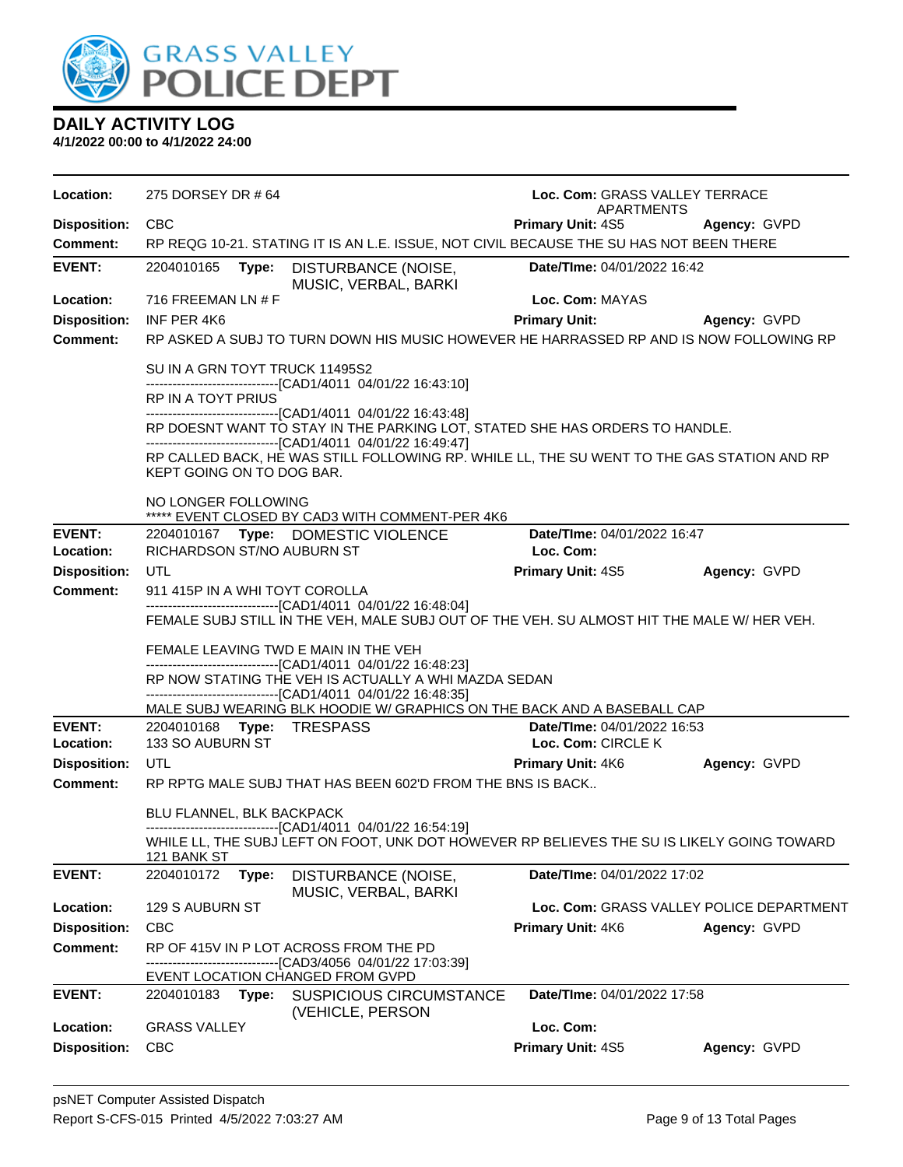

| Location:                       | 275 DORSEY DR #64                                    |                                                                                                                                                                                                                                                                                                                                                                          | Loc. Com: GRASS VALLEY TERRACE           |              |
|---------------------------------|------------------------------------------------------|--------------------------------------------------------------------------------------------------------------------------------------------------------------------------------------------------------------------------------------------------------------------------------------------------------------------------------------------------------------------------|------------------------------------------|--------------|
| <b>Disposition:</b>             | <b>CBC</b>                                           |                                                                                                                                                                                                                                                                                                                                                                          | APARTMENTS<br><b>Primary Unit: 4S5</b>   | Agency: GVPD |
| <b>Comment:</b>                 |                                                      | RP REQG 10-21. STATING IT IS AN L.E. ISSUE, NOT CIVIL BECAUSE THE SU HAS NOT BEEN THERE                                                                                                                                                                                                                                                                                  |                                          |              |
| <b>EVENT:</b>                   | 2204010165<br>Type:                                  | DISTURBANCE (NOISE,<br>MUSIC, VERBAL, BARKI                                                                                                                                                                                                                                                                                                                              | Date/TIme: 04/01/2022 16:42              |              |
| Location:                       | 716 FREEMAN LN # F                                   |                                                                                                                                                                                                                                                                                                                                                                          | Loc. Com: MAYAS                          |              |
| <b>Disposition:</b>             | INF PER 4K6                                          |                                                                                                                                                                                                                                                                                                                                                                          | <b>Primary Unit:</b>                     | Agency: GVPD |
| <b>Comment:</b>                 |                                                      | RP ASKED A SUBJ TO TURN DOWN HIS MUSIC HOWEVER HE HARRASSED RP AND IS NOW FOLLOWING RP                                                                                                                                                                                                                                                                                   |                                          |              |
|                                 | SU IN A GRN TOYT TRUCK 11495S2<br>RP IN A TOYT PRIUS | -------------------------------[CAD1/4011 04/01/22 16:43:10]<br>-------------------------------[CAD1/4011 04/01/22 16:43:48]<br>RP DOESNT WANT TO STAY IN THE PARKING LOT, STATED SHE HAS ORDERS TO HANDLE.<br>------------------------------[CAD1/4011 04/01/22 16:49:47]<br>RP CALLED BACK, HE WAS STILL FOLLOWING RP. WHILE LL, THE SU WENT TO THE GAS STATION AND RP |                                          |              |
|                                 | KEPT GOING ON TO DOG BAR.                            |                                                                                                                                                                                                                                                                                                                                                                          |                                          |              |
|                                 | NO LONGER FOLLOWING                                  | ***** EVENT CLOSED BY CAD3 WITH COMMENT-PER 4K6                                                                                                                                                                                                                                                                                                                          |                                          |              |
| <b>EVENT:</b>                   |                                                      | 2204010167 Type: DOMESTIC VIOLENCE                                                                                                                                                                                                                                                                                                                                       | Date/TIme: 04/01/2022 16:47              |              |
| Location:                       | RICHARDSON ST/NO AUBURN ST                           |                                                                                                                                                                                                                                                                                                                                                                          | Loc. Com:                                |              |
| <b>Disposition:</b><br>Comment: | UTL<br>911 415P IN A WHI TOYT COROLLA                |                                                                                                                                                                                                                                                                                                                                                                          | <b>Primary Unit: 4S5</b>                 | Agency: GVPD |
|                                 |                                                      | ------------------------------[CAD1/4011 04/01/22 16:48:04]<br>FEMALE SUBJ STILL IN THE VEH, MALE SUBJ OUT OF THE VEH. SU ALMOST HIT THE MALE W/ HER VEH.                                                                                                                                                                                                                |                                          |              |
|                                 | FEMALE LEAVING TWD E MAIN IN THE VEH                 | ------------------------------[CAD1/4011_04/01/22 16:48:23]<br>RP NOW STATING THE VEH IS ACTUALLY A WHI MAZDA SEDAN<br>-------------------------------[CAD1/4011 04/01/22 16:48:35]<br>MALE SUBJ WEARING BLK HOODIE W/ GRAPHICS ON THE BACK AND A BASEBALL CAP                                                                                                           |                                          |              |
| <b>EVENT:</b>                   | 2204010168 Type: TRESPASS                            |                                                                                                                                                                                                                                                                                                                                                                          | <b>Date/Time: 04/01/2022 16:53</b>       |              |
| Location:                       | 133 SO AUBURN ST                                     |                                                                                                                                                                                                                                                                                                                                                                          | Loc. Com: CIRCLE K                       |              |
| <b>Disposition:</b>             | UTL                                                  |                                                                                                                                                                                                                                                                                                                                                                          | <b>Primary Unit: 4K6</b>                 | Agency: GVPD |
| <b>Comment:</b>                 |                                                      | RP RPTG MALE SUBJ THAT HAS BEEN 602'D FROM THE BNS IS BACK                                                                                                                                                                                                                                                                                                               |                                          |              |
|                                 | BLU FLANNEL, BLK BACKPACK<br>121 BANK ST             | --------------------------------[CAD1/4011 04/01/22 16:54:19]<br>WHILE LL, THE SUBJ LEFT ON FOOT, UNK DOT HOWEVER RP BELIEVES THE SU IS LIKELY GOING TOWARD                                                                                                                                                                                                              |                                          |              |
| <b>EVENT:</b>                   | 2204010172<br>Type:                                  | DISTURBANCE (NOISE,<br>MUSIC, VERBAL, BARKI                                                                                                                                                                                                                                                                                                                              | Date/TIme: 04/01/2022 17:02              |              |
| Location:                       | 129 S AUBURN ST                                      |                                                                                                                                                                                                                                                                                                                                                                          | Loc. Com: GRASS VALLEY POLICE DEPARTMENT |              |
| <b>Disposition:</b>             | CBC                                                  |                                                                                                                                                                                                                                                                                                                                                                          | Primary Unit: 4K6                        | Agency: GVPD |
| <b>Comment:</b>                 |                                                      | RP OF 415V IN P LOT ACROSS FROM THE PD<br>--[CAD3/4056_04/01/22 17:03:39]                                                                                                                                                                                                                                                                                                |                                          |              |
|                                 | EVENT LOCATION CHANGED FROM GVPD                     |                                                                                                                                                                                                                                                                                                                                                                          |                                          |              |
| <b>EVENT:</b>                   | 2204010183 Type:                                     | <b>SUSPICIOUS CIRCUMSTANCE</b><br>(VEHICLE, PERSON                                                                                                                                                                                                                                                                                                                       | Date/TIme: 04/01/2022 17:58              |              |
| Location:                       | <b>GRASS VALLEY</b>                                  |                                                                                                                                                                                                                                                                                                                                                                          | Loc. Com:                                |              |
| <b>Disposition:</b>             | <b>CBC</b>                                           |                                                                                                                                                                                                                                                                                                                                                                          | Primary Unit: 4S5                        | Agency: GVPD |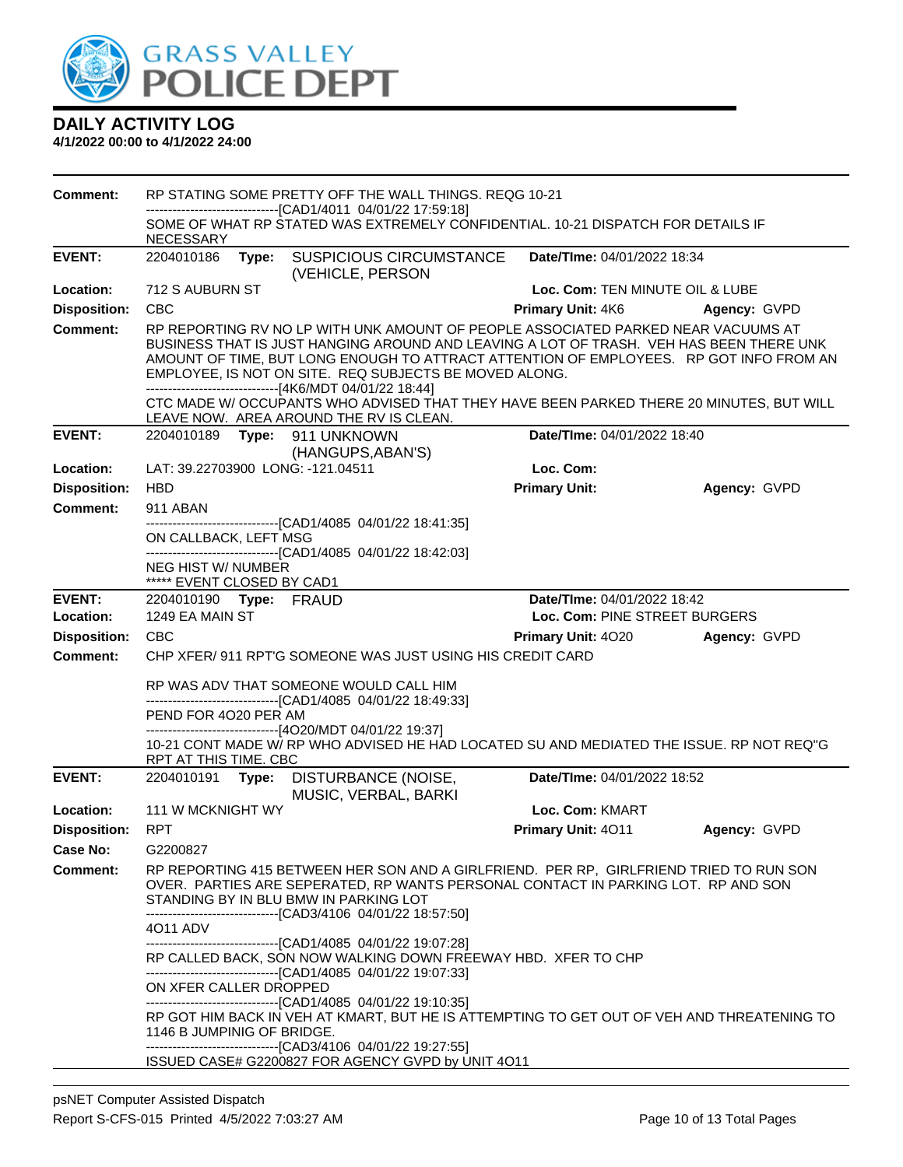

| Comment:            | RP STATING SOME PRETTY OFF THE WALL THINGS, REQG 10-21 |       |                                                                                                                                                                                                                                                                                                                                                                                                                                                                                                                                  |                                 |              |
|---------------------|--------------------------------------------------------|-------|----------------------------------------------------------------------------------------------------------------------------------------------------------------------------------------------------------------------------------------------------------------------------------------------------------------------------------------------------------------------------------------------------------------------------------------------------------------------------------------------------------------------------------|---------------------------------|--------------|
|                     |                                                        |       | --------------------------[CAD1/4011_04/01/22 17:59:18]<br>SOME OF WHAT RP STATED WAS EXTREMELY CONFIDENTIAL. 10-21 DISPATCH FOR DETAILS IF                                                                                                                                                                                                                                                                                                                                                                                      |                                 |              |
|                     | <b>NECESSARY</b>                                       |       |                                                                                                                                                                                                                                                                                                                                                                                                                                                                                                                                  |                                 |              |
| <b>EVENT:</b>       | 2204010186                                             | Type: | <b>SUSPICIOUS CIRCUMSTANCE</b><br>(VEHICLE, PERSON                                                                                                                                                                                                                                                                                                                                                                                                                                                                               | Date/TIme: 04/01/2022 18:34     |              |
| Location:           | 712 S AUBURN ST                                        |       |                                                                                                                                                                                                                                                                                                                                                                                                                                                                                                                                  | Loc. Com: TEN MINUTE OIL & LUBE |              |
| <b>Disposition:</b> | <b>CBC</b>                                             |       |                                                                                                                                                                                                                                                                                                                                                                                                                                                                                                                                  | <b>Primary Unit: 4K6</b>        | Agency: GVPD |
| <b>Comment:</b>     |                                                        |       | RP REPORTING RV NO LP WITH UNK AMOUNT OF PEOPLE ASSOCIATED PARKED NEAR VACUUMS AT<br>BUSINESS THAT IS JUST HANGING AROUND AND LEAVING A LOT OF TRASH. VEH HAS BEEN THERE UNK<br>AMOUNT OF TIME, BUT LONG ENOUGH TO ATTRACT ATTENTION OF EMPLOYEES. RP GOT INFO FROM AN<br>EMPLOYEE, IS NOT ON SITE. REQ SUBJECTS BE MOVED ALONG.<br>------------------------------[4K6/MDT 04/01/22 18:44]<br>CTC MADE W/ OCCUPANTS WHO ADVISED THAT THEY HAVE BEEN PARKED THERE 20 MINUTES, BUT WILL<br>LEAVE NOW. AREA AROUND THE RV IS CLEAN. |                                 |              |
| <b>EVENT:</b>       |                                                        |       | 2204010189 Type: 911 UNKNOWN                                                                                                                                                                                                                                                                                                                                                                                                                                                                                                     | Date/TIme: 04/01/2022 18:40     |              |
|                     |                                                        |       | (HANGUPS, ABAN'S)                                                                                                                                                                                                                                                                                                                                                                                                                                                                                                                |                                 |              |
| Location:           | LAT: 39.22703900 LONG: -121.04511                      |       |                                                                                                                                                                                                                                                                                                                                                                                                                                                                                                                                  | Loc. Com:                       |              |
| <b>Disposition:</b> | <b>HBD</b>                                             |       |                                                                                                                                                                                                                                                                                                                                                                                                                                                                                                                                  | <b>Primary Unit:</b>            | Agency: GVPD |
| <b>Comment:</b>     | 911 ABAN                                               |       |                                                                                                                                                                                                                                                                                                                                                                                                                                                                                                                                  |                                 |              |
|                     | ON CALLBACK, LEFT MSG                                  |       | --------------------[CAD1/4085_04/01/22_18:41:35]                                                                                                                                                                                                                                                                                                                                                                                                                                                                                |                                 |              |
|                     |                                                        |       | -------------------------------[CAD1/4085 04/01/22 18:42:03]                                                                                                                                                                                                                                                                                                                                                                                                                                                                     |                                 |              |
|                     | NEG HIST W/ NUMBER<br>***** EVENT CLOSED BY CAD1       |       |                                                                                                                                                                                                                                                                                                                                                                                                                                                                                                                                  |                                 |              |
| <b>EVENT:</b>       | 2204010190 Type: FRAUD                                 |       |                                                                                                                                                                                                                                                                                                                                                                                                                                                                                                                                  | Date/TIme: 04/01/2022 18:42     |              |
| Location:           | 1249 EA MAIN ST                                        |       |                                                                                                                                                                                                                                                                                                                                                                                                                                                                                                                                  | Loc. Com: PINE STREET BURGERS   |              |
| <b>Disposition:</b> | CBC                                                    |       |                                                                                                                                                                                                                                                                                                                                                                                                                                                                                                                                  | <b>Primary Unit: 4020</b>       | Agency: GVPD |
| Comment:            |                                                        |       | CHP XFER/ 911 RPT'G SOMEONE WAS JUST USING HIS CREDIT CARD                                                                                                                                                                                                                                                                                                                                                                                                                                                                       |                                 |              |
|                     |                                                        |       | RP WAS ADV THAT SOMEONE WOULD CALL HIM                                                                                                                                                                                                                                                                                                                                                                                                                                                                                           |                                 |              |
|                     |                                                        |       | -------------------------------[CAD1/4085 04/01/22 18:49:33]                                                                                                                                                                                                                                                                                                                                                                                                                                                                     |                                 |              |
|                     | PEND FOR 4020 PER AM                                   |       |                                                                                                                                                                                                                                                                                                                                                                                                                                                                                                                                  |                                 |              |
|                     |                                                        |       |                                                                                                                                                                                                                                                                                                                                                                                                                                                                                                                                  |                                 |              |
|                     |                                                        |       | -------------------------------[4O20/MDT 04/01/22 19:37]<br>10-21 CONT MADE W/ RP WHO ADVISED HE HAD LOCATED SU AND MEDIATED THE ISSUE. RP NOT REQ"G                                                                                                                                                                                                                                                                                                                                                                             |                                 |              |
|                     | RPT AT THIS TIME. CBC                                  |       |                                                                                                                                                                                                                                                                                                                                                                                                                                                                                                                                  |                                 |              |
| <b>EVENT:</b>       | 2204010191                                             | Type: | DISTURBANCE (NOISE,                                                                                                                                                                                                                                                                                                                                                                                                                                                                                                              | Date/TIme: 04/01/2022 18:52     |              |
| Location:           | 111 W MCKNIGHT WY                                      |       | MUSIC, VERBAL, BARKI                                                                                                                                                                                                                                                                                                                                                                                                                                                                                                             | Loc. Com: KMART                 |              |
| <b>Disposition:</b> | RPT                                                    |       |                                                                                                                                                                                                                                                                                                                                                                                                                                                                                                                                  | Primary Unit: 4011              | Agency: GVPD |
| Case No:            | G2200827                                               |       |                                                                                                                                                                                                                                                                                                                                                                                                                                                                                                                                  |                                 |              |
| Comment:            |                                                        |       | RP REPORTING 415 BETWEEN HER SON AND A GIRLFRIEND. PER RP, GIRLFRIEND TRIED TO RUN SON<br>OVER. PARTIES ARE SEPERATED, RP WANTS PERSONAL CONTACT IN PARKING LOT. RP AND SON<br>STANDING BY IN BLU BMW IN PARKING LOT<br>-------------------------------[CAD3/4106 04/01/22 18:57:50]                                                                                                                                                                                                                                             |                                 |              |
|                     | 4O11 ADV                                               |       |                                                                                                                                                                                                                                                                                                                                                                                                                                                                                                                                  |                                 |              |
|                     |                                                        |       | ------------------------------[CAD1/4085 04/01/22 19:07:28]<br>RP CALLED BACK, SON NOW WALKING DOWN FREEWAY HBD. XFER TO CHP                                                                                                                                                                                                                                                                                                                                                                                                     |                                 |              |
|                     | ON XFER CALLER DROPPED                                 |       | ---------------------------------[CAD1/4085 04/01/22 19:07:33]                                                                                                                                                                                                                                                                                                                                                                                                                                                                   |                                 |              |
|                     | 1146 B JUMPINIG OF BRIDGE.                             |       | -------------------------------[CAD1/4085 04/01/22 19:10:35]<br>RP GOT HIM BACK IN VEH AT KMART, BUT HE IS ATTEMPTING TO GET OUT OF VEH AND THREATENING TO<br>-------------------------------[CAD3/4106 04/01/22 19:27:55]                                                                                                                                                                                                                                                                                                       |                                 |              |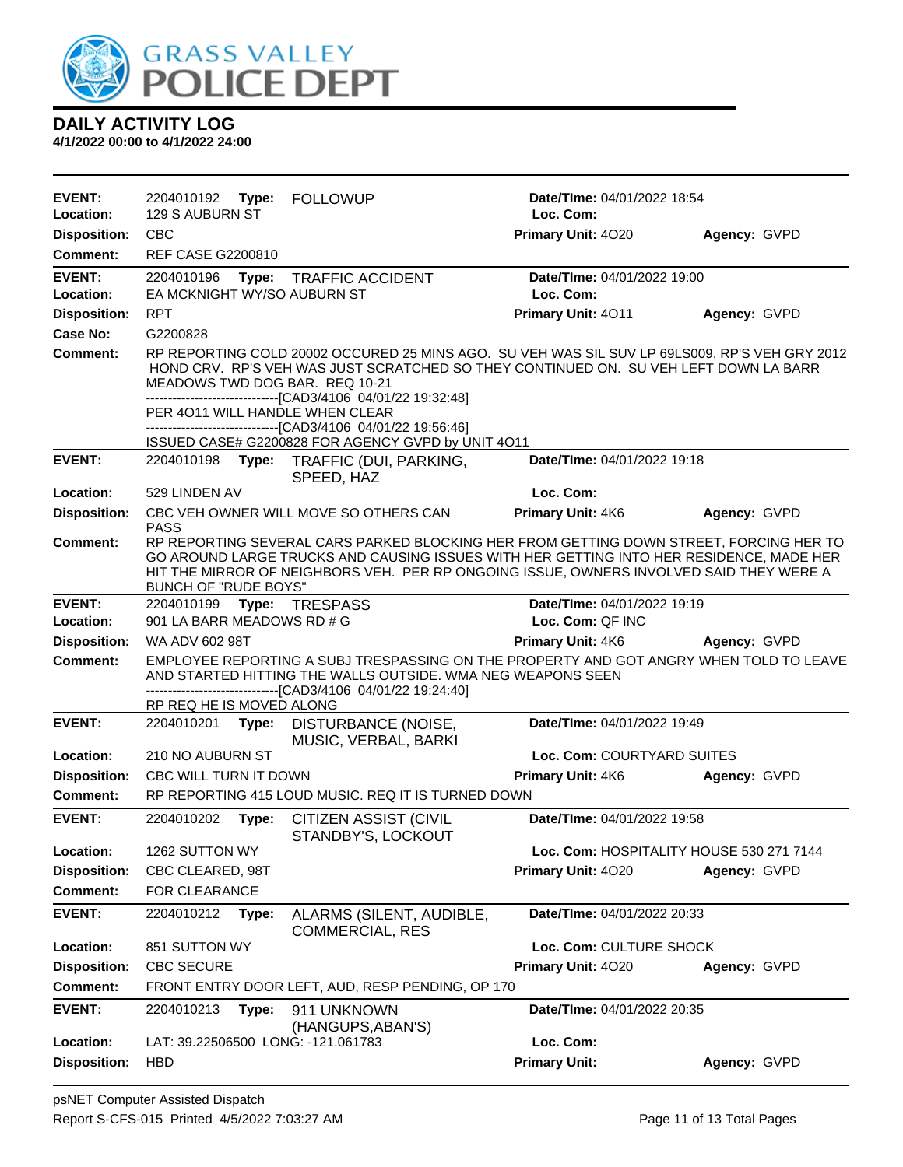

| <b>EVENT:</b>              |                                           |       | 2204010192 Type: FOLLOWUP                                                                                                                                                                                                                                                                                                  | Date/TIme: 04/01/2022 18:54              |              |
|----------------------------|-------------------------------------------|-------|----------------------------------------------------------------------------------------------------------------------------------------------------------------------------------------------------------------------------------------------------------------------------------------------------------------------------|------------------------------------------|--------------|
| Location:                  | 129 S AUBURN ST                           |       |                                                                                                                                                                                                                                                                                                                            | Loc. Com:                                |              |
| <b>Disposition:</b>        | CBC                                       |       |                                                                                                                                                                                                                                                                                                                            | Primary Unit: 4020                       | Agency: GVPD |
| <b>Comment:</b>            | <b>REF CASE G2200810</b>                  |       |                                                                                                                                                                                                                                                                                                                            |                                          |              |
| <b>EVENT:</b><br>Location: | 2204010196<br>EA MCKNIGHT WY/SO AUBURN ST |       | Type: TRAFFIC ACCIDENT                                                                                                                                                                                                                                                                                                     | Date/TIme: 04/01/2022 19:00<br>Loc. Com: |              |
| <b>Disposition:</b>        | <b>RPT</b>                                |       |                                                                                                                                                                                                                                                                                                                            | Primary Unit: 4011                       | Agency: GVPD |
| <b>Case No:</b>            | G2200828                                  |       |                                                                                                                                                                                                                                                                                                                            |                                          |              |
| <b>Comment:</b>            |                                           |       | RP REPORTING COLD 20002 OCCURED 25 MINS AGO. SU VEH WAS SIL SUV LP 69LS009, RP'S VEH GRY 2012<br>HOND CRV. RP'S VEH WAS JUST SCRATCHED SO THEY CONTINUED ON. SU VEH LEFT DOWN LA BARR<br>MEADOWS TWD DOG BAR. REQ 10-21<br>-------------------------------[CAD3/4106 04/01/22 19:32:48]<br>PER 4011 WILL HANDLE WHEN CLEAR |                                          |              |
|                            |                                           |       | -------------------------------[CAD3/4106 04/01/22 19:56:46]                                                                                                                                                                                                                                                               |                                          |              |
|                            |                                           |       | ISSUED CASE# G2200828 FOR AGENCY GVPD by UNIT 4O11                                                                                                                                                                                                                                                                         |                                          |              |
| <b>EVENT:</b>              |                                           |       | 2204010198 Type: TRAFFIC (DUI, PARKING,<br>SPEED, HAZ                                                                                                                                                                                                                                                                      | Date/TIme: 04/01/2022 19:18              |              |
| Location:                  | 529 LINDEN AV                             |       |                                                                                                                                                                                                                                                                                                                            | Loc. Com:                                |              |
| <b>Disposition:</b>        | <b>PASS</b>                               |       | CBC VEH OWNER WILL MOVE SO OTHERS CAN                                                                                                                                                                                                                                                                                      | Primary Unit: 4K6                        | Agency: GVPD |
| Comment:                   | <b>BUNCH OF "RUDE BOYS"</b>               |       | RP REPORTING SEVERAL CARS PARKED BLOCKING HER FROM GETTING DOWN STREET, FORCING HER TO<br>GO AROUND LARGE TRUCKS AND CAUSING ISSUES WITH HER GETTING INTO HER RESIDENCE, MADE HER<br>HIT THE MIRROR OF NEIGHBORS VEH. PER RP ONGOING ISSUE, OWNERS INVOLVED SAID THEY WERE A                                               |                                          |              |
| <b>EVENT:</b>              |                                           |       |                                                                                                                                                                                                                                                                                                                            | Date/TIme: 04/01/2022 19:19              |              |
| Location:                  | 901 LA BARR MEADOWS RD # G                |       |                                                                                                                                                                                                                                                                                                                            | Loc. Com: QF INC                         |              |
| <b>Disposition:</b>        | WA ADV 602 98T                            |       |                                                                                                                                                                                                                                                                                                                            | <b>Primary Unit: 4K6</b>                 | Agency: GVPD |
| <b>Comment:</b>            |                                           |       | EMPLOYEE REPORTING A SUBJ TRESPASSING ON THE PROPERTY AND GOT ANGRY WHEN TOLD TO LEAVE<br>AND STARTED HITTING THE WALLS OUTSIDE. WMA NEG WEAPONS SEEN<br>-------------------------------[CAD3/4106 04/01/22 19:24:40]                                                                                                      |                                          |              |
|                            | RP REQ HE IS MOVED ALONG                  |       |                                                                                                                                                                                                                                                                                                                            |                                          |              |
| <b>EVENT:</b>              | 2204010201                                | Type: | DISTURBANCE (NOISE,<br>MUSIC, VERBAL, BARKI                                                                                                                                                                                                                                                                                | Date/TIme: 04/01/2022 19:49              |              |
| Location:                  | 210 NO AUBURN ST                          |       |                                                                                                                                                                                                                                                                                                                            | Loc. Com: COURTYARD SUITES               |              |
| <b>Disposition:</b>        | CBC WILL TURN IT DOWN                     |       |                                                                                                                                                                                                                                                                                                                            | Primary Unit: 4K6                        | Agency: GVPD |
| <b>Comment:</b>            |                                           |       | RP REPORTING 415 LOUD MUSIC. REQ IT IS TURNED DOWN                                                                                                                                                                                                                                                                         |                                          |              |
| <b>EVENT:</b>              | 2204010202                                | Type: | <b>CITIZEN ASSIST (CIVIL</b><br>STANDBY'S, LOCKOUT                                                                                                                                                                                                                                                                         | Date/TIme: 04/01/2022 19:58              |              |
| Location:                  | 1262 SUTTON WY                            |       |                                                                                                                                                                                                                                                                                                                            | Loc. Com: HOSPITALITY HOUSE 530 271 7144 |              |
| <b>Disposition:</b>        | CBC CLEARED, 98T                          |       |                                                                                                                                                                                                                                                                                                                            | Primary Unit: 4020                       | Agency: GVPD |
| <b>Comment:</b>            | FOR CLEARANCE                             |       |                                                                                                                                                                                                                                                                                                                            |                                          |              |
| <b>EVENT:</b>              | 2204010212                                | Type: | ALARMS (SILENT, AUDIBLE,<br><b>COMMERCIAL, RES</b>                                                                                                                                                                                                                                                                         | Date/TIme: 04/01/2022 20:33              |              |
| Location:                  | 851 SUTTON WY                             |       |                                                                                                                                                                                                                                                                                                                            | Loc. Com: CULTURE SHOCK                  |              |
| <b>Disposition:</b>        | <b>CBC SECURE</b>                         |       |                                                                                                                                                                                                                                                                                                                            | Primary Unit: 4020                       | Agency: GVPD |
| <b>Comment:</b>            |                                           |       | FRONT ENTRY DOOR LEFT, AUD, RESP PENDING, OP 170                                                                                                                                                                                                                                                                           |                                          |              |
| <b>EVENT:</b>              | 2204010213                                | Type: | 911 UNKNOWN<br>(HANGUPS, ABAN'S)                                                                                                                                                                                                                                                                                           | Date/TIme: 04/01/2022 20:35              |              |
| Location:                  |                                           |       | LAT: 39.22506500 LONG: -121.061783                                                                                                                                                                                                                                                                                         | Loc. Com:                                |              |
| <b>Disposition:</b>        | <b>HBD</b>                                |       |                                                                                                                                                                                                                                                                                                                            | <b>Primary Unit:</b>                     | Agency: GVPD |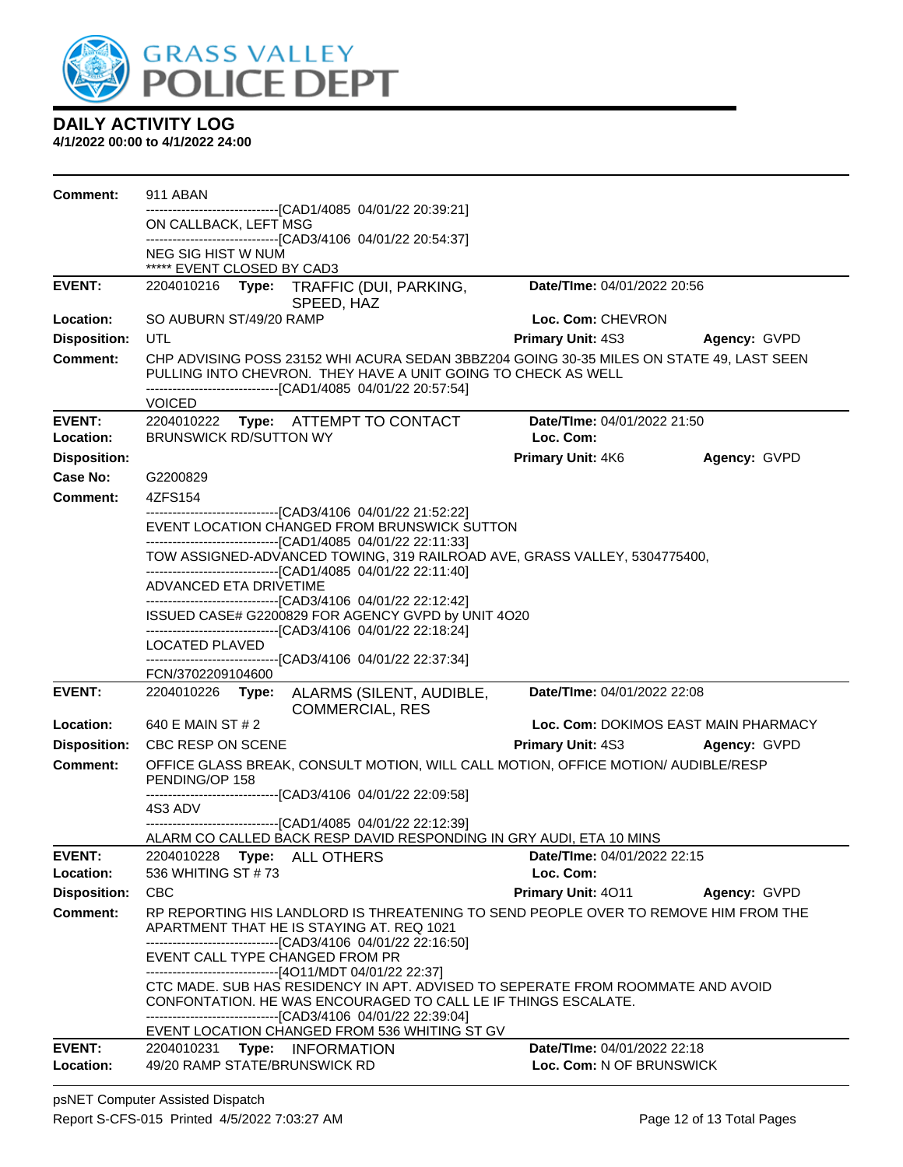

| <b>Comment:</b>            | 911 ABAN                                                                                                                                                                                                                 |                                          |              |
|----------------------------|--------------------------------------------------------------------------------------------------------------------------------------------------------------------------------------------------------------------------|------------------------------------------|--------------|
|                            | -------------------------------[CAD1/4085 04/01/22 20:39:21]<br>ON CALLBACK, LEFT MSG                                                                                                                                    |                                          |              |
|                            | -------------------------------[CAD3/4106 04/01/22 20:54:37]                                                                                                                                                             |                                          |              |
|                            | <b>NEG SIG HIST W NUM</b><br>***** EVENT CLOSED BY CAD3                                                                                                                                                                  |                                          |              |
| <b>EVENT:</b>              | 2204010216 Type: TRAFFIC (DUI, PARKING,<br>SPEED, HAZ                                                                                                                                                                    | Date/TIme: 04/01/2022 20:56              |              |
| Location:                  | SO AUBURN ST/49/20 RAMP                                                                                                                                                                                                  | Loc. Com: CHEVRON                        |              |
| <b>Disposition:</b>        | UTL                                                                                                                                                                                                                      | <b>Primary Unit: 4S3</b>                 | Agency: GVPD |
| <b>Comment:</b>            | CHP ADVISING POSS 23152 WHI ACURA SEDAN 3BBZ204 GOING 30-35 MILES ON STATE 49, LAST SEEN<br>PULLING INTO CHEVRON. THEY HAVE A UNIT GOING TO CHECK AS WELL<br>------------------------------[CAD1/4085 04/01/22 20:57:54] |                                          |              |
|                            | <b>VOICED</b>                                                                                                                                                                                                            |                                          |              |
| <b>EVENT:</b><br>Location: | 2204010222 Type: ATTEMPT TO CONTACT<br><b>BRUNSWICK RD/SUTTON WY</b>                                                                                                                                                     | Date/TIme: 04/01/2022 21:50<br>Loc. Com: |              |
| <b>Disposition:</b>        |                                                                                                                                                                                                                          | <b>Primary Unit: 4K6</b>                 | Agency: GVPD |
| <b>Case No:</b>            | G2200829                                                                                                                                                                                                                 |                                          |              |
| Comment:                   | 4ZFS154                                                                                                                                                                                                                  |                                          |              |
|                            | -------------------------------[CAD3/4106 04/01/22 21:52:22]                                                                                                                                                             |                                          |              |
|                            | EVENT LOCATION CHANGED FROM BRUNSWICK SUTTON<br>-------------------------------[CAD1/4085 04/01/22 22:11:33]                                                                                                             |                                          |              |
|                            | TOW ASSIGNED-ADVANCED TOWING, 319 RAILROAD AVE, GRASS VALLEY, 5304775400,                                                                                                                                                |                                          |              |
|                            | -------------------------------[CAD1/4085 04/01/22 22:11:40]<br>ADVANCED ETA DRIVETIME                                                                                                                                   |                                          |              |
|                            | -------------------------------[CAD3/4106 04/01/22 22:12:42]                                                                                                                                                             |                                          |              |
|                            | ISSUED CASE# G2200829 FOR AGENCY GVPD by UNIT 4O20                                                                                                                                                                       |                                          |              |
|                            | -------------------------------[CAD3/4106 04/01/22 22:18:24]<br>LOCATED PLAVED                                                                                                                                           |                                          |              |
|                            | -------------------------------[CAD3/4106 04/01/22 22:37:34]                                                                                                                                                             |                                          |              |
| <b>EVENT:</b>              | FCN/3702209104600<br>2204010226<br>Type:<br>ALARMS (SILENT, AUDIBLE,                                                                                                                                                     | Date/TIme: 04/01/2022 22:08              |              |
|                            | <b>COMMERCIAL, RES</b>                                                                                                                                                                                                   |                                          |              |
| Location:                  | 640 E MAIN ST # 2                                                                                                                                                                                                        | Loc. Com: DOKIMOS EAST MAIN PHARMACY     |              |
| <b>Disposition:</b>        | CBC RESP ON SCENE                                                                                                                                                                                                        | <b>Primary Unit: 4S3</b>                 | Agency: GVPD |
| <b>Comment:</b>            | OFFICE GLASS BREAK, CONSULT MOTION, WILL CALL MOTION, OFFICE MOTION/ AUDIBLE/RESP<br>PENDING/OP 158                                                                                                                      |                                          |              |
|                            | -------------------------------[CAD3/4106 04/01/22 22:09:58]<br>4S3 ADV                                                                                                                                                  |                                          |              |
|                            | -------------------------------[CAD1/4085 04/01/22 22:12:39]                                                                                                                                                             |                                          |              |
|                            | ALARM CO CALLED BACK RESP DAVID RESPONDING IN GRY AUDI, ETA 10 MINS                                                                                                                                                      |                                          |              |
| <b>EVENT:</b><br>Location: | 2204010228<br>Type: ALL OTHERS<br>536 WHITING ST #73                                                                                                                                                                     | Date/TIme: 04/01/2022 22:15<br>Loc. Com: |              |
| <b>Disposition:</b>        | <b>CBC</b>                                                                                                                                                                                                               | Primary Unit: 4011                       | Agency: GVPD |
| <b>Comment:</b>            | RP REPORTING HIS LANDLORD IS THREATENING TO SEND PEOPLE OVER TO REMOVE HIM FROM THE                                                                                                                                      |                                          |              |
|                            | APARTMENT THAT HE IS STAYING AT. REQ 1021                                                                                                                                                                                |                                          |              |
|                            | -------------------------------[CAD3/4106 04/01/22 22:16:50]<br>EVENT CALL TYPE CHANGED FROM PR                                                                                                                          |                                          |              |
|                            | ------------------------------[4O11/MDT 04/01/22 22:37]                                                                                                                                                                  |                                          |              |
|                            | CTC MADE. SUB HAS RESIDENCY IN APT. ADVISED TO SEPERATE FROM ROOMMATE AND AVOID                                                                                                                                          |                                          |              |
|                            | CONFONTATION. HE WAS ENCOURAGED TO CALL LE IF THINGS ESCALATE.<br>-------------------------------[CAD3/4106 04/01/22 22:39:04]                                                                                           |                                          |              |
|                            | EVENT LOCATION CHANGED FROM 536 WHITING ST GV                                                                                                                                                                            |                                          |              |
| <b>EVENT:</b>              | 2204010231<br>Type: INFORMATION                                                                                                                                                                                          | Date/TIme: 04/01/2022 22:18              |              |
| Location:                  | 49/20 RAMP STATE/BRUNSWICK RD                                                                                                                                                                                            | Loc. Com: N OF BRUNSWICK                 |              |